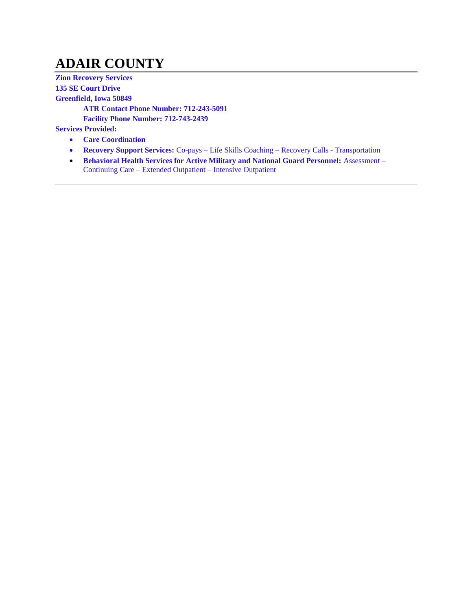# **ADAIR COUNTY**

**Zion Recovery Services 135 SE Court Drive Greenfield, Iowa 50849 ATR Contact Phone Number: 712-243-5091 Facility Phone Number: 712-743-2439 Services Provided:**

- **Care Coordination**
- **Recovery Support Services:** Co-pays Life Skills Coaching Recovery Calls Transportation
- **Behavioral Health Services for Active Military and National Guard Personnel: Assessment** Continuing Care – Extended Outpatient – Intensive Outpatient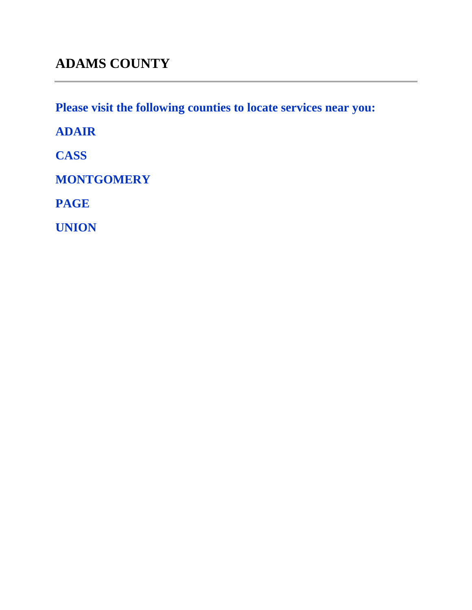**Please visit the following counties to locate services near you:** 

**ADAIR**

**CASS**

**MONTGOMERY**

**PAGE** 

**UNION**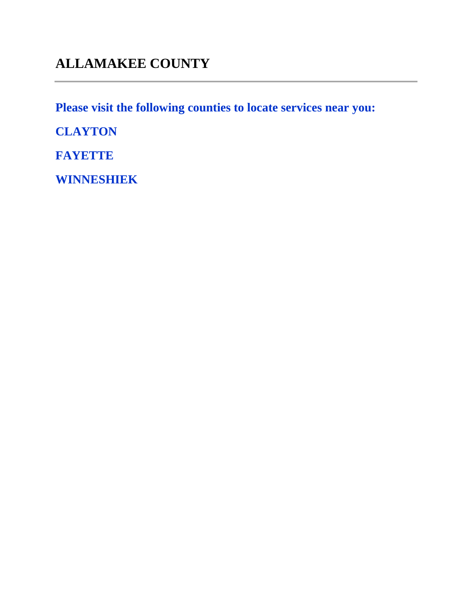**Please visit the following counties to locate services near you:** 

**CLAYTON**

**FAYETTE**

**WINNESHIEK**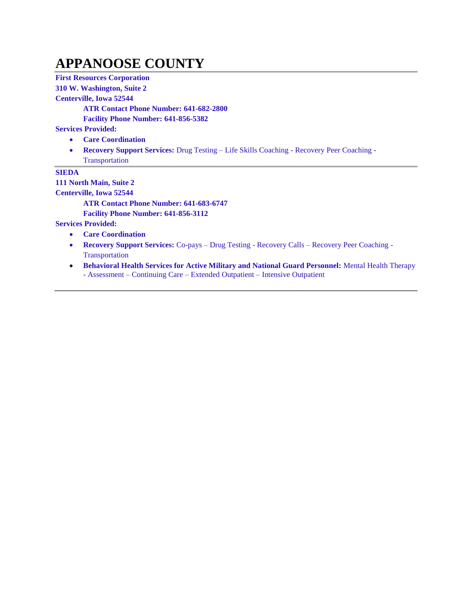#### **APPANOOSE COUNTY**

**First Resources Corporation**

**310 W. Washington, Suite 2**

**Centerville, Iowa 52544**

**ATR Contact Phone Number: 641-682-2800**

**Facility Phone Number: 641-856-5382**

**Services Provided:**

- **Care Coordination**
- **Recovery Support Services:** Drug Testing Life Skills Coaching Recovery Peer Coaching Transportation

**SIEDA**

**111 North Main, Suite 2**

**Centerville, Iowa 52544**

**ATR Contact Phone Number: 641-683-6747**

**Facility Phone Number: 641-856-3112**

- **Care Coordination**
- **Recovery Support Services:** Co-pays Drug Testing Recovery Calls Recovery Peer Coaching Transportation
- **Behavioral Health Services for Active Military and National Guard Personnel:** Mental Health Therapy - Assessment – Continuing Care – Extended Outpatient – Intensive Outpatient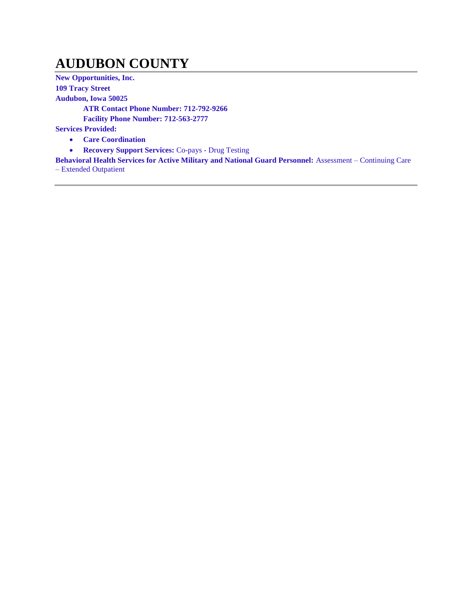## **AUDUBON COUNTY**

**New Opportunities, Inc. 109 Tracy Street Audubon, Iowa 50025 ATR Contact Phone Number: 712-792-9266 Facility Phone Number: 712-563-2777 Services Provided: Care Coordination**

**Recovery Support Services:** Co-pays - Drug Testing

**Behavioral Health Services for Active Military and National Guard Personnel:** Assessment – Continuing Care – Extended Outpatient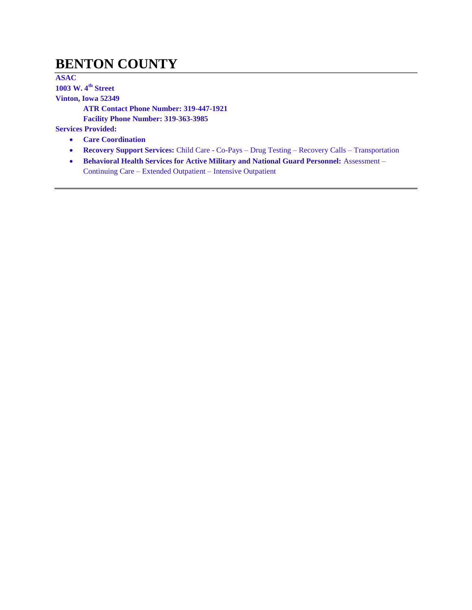#### **BENTON COUNTY**

**ASAC 1003 W. 4th Street Vinton, Iowa 52349 ATR Contact Phone Number: 319-447-1921 Facility Phone Number: 319-363-3985 Services Provided:**

- **Care Coordination**
- **Recovery Support Services:** Child Care Co-Pays Drug Testing Recovery Calls Transportation
- **Behavioral Health Services for Active Military and National Guard Personnel: Assessment** Continuing Care – Extended Outpatient – Intensive Outpatient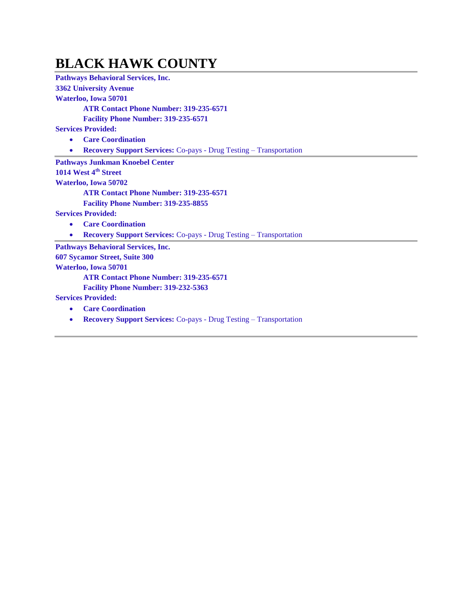#### **BLACK HAWK COUNTY**

**Pathways Behavioral Services, Inc. 3362 University Avenue**

**Waterloo, Iowa 50701**

**ATR Contact Phone Number: 319-235-6571**

**Facility Phone Number: 319-235-6571**

**Services Provided:**

**Care Coordination**

**Recovery Support Services:** Co-pays - Drug Testing – Transportation

**Pathways Junkman Knoebel Center**

**1014 West 4th Street**

**Waterloo, Iowa 50702**

**ATR Contact Phone Number: 319-235-6571**

**Facility Phone Number: 319-235-8855**

**Services Provided:**

- **Care Coordination**
- **Recovery Support Services:** Co-pays Drug Testing Transportation

**Pathways Behavioral Services, Inc.** 

**607 Sycamor Street, Suite 300**

**Waterloo, Iowa 50701**

**ATR Contact Phone Number: 319-235-6571**

**Facility Phone Number: 319-232-5363**

- **Care Coordination**
- **Recovery Support Services:** Co-pays Drug Testing Transportation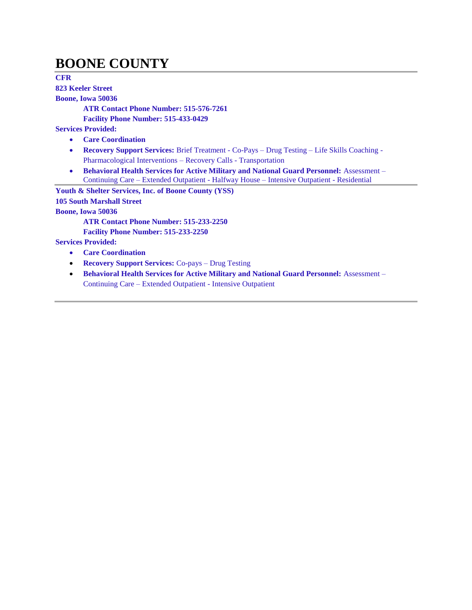#### **BOONE COUNTY**

**CFR 823 Keeler Street**

**Boone, Iowa 50036**

**ATR Contact Phone Number: 515-576-7261**

**Facility Phone Number: 515-433-0429**

**Services Provided:**

- **Care Coordination**
- **Recovery Support Services:** Brief Treatment Co-Pays Drug Testing Life Skills Coaching Pharmacological Interventions – Recovery Calls - Transportation
- **Behavioral Health Services for Active Military and National Guard Personnel:** Assessment Continuing Care – Extended Outpatient - Halfway House – Intensive Outpatient - Residential

**Youth & Shelter Services, Inc. of Boone County (YSS) 105 South Marshall Street Boone, Iowa 50036**

**ATR Contact Phone Number: 515-233-2250**

**Facility Phone Number: 515-233-2250**

- **Care Coordination**
- **Recovery Support Services:** Co-pays Drug Testing
- **Behavioral Health Services for Active Military and National Guard Personnel:** Assessment Continuing Care – Extended Outpatient - Intensive Outpatient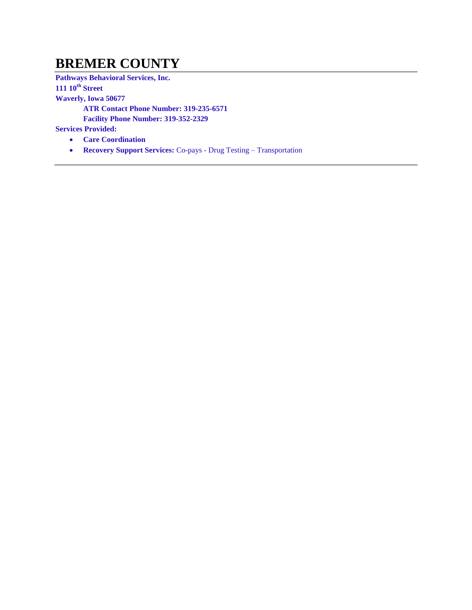#### **BREMER COUNTY**

**Pathways Behavioral Services, Inc.** 

**111 10th Street**

**Waverly, Iowa 50677**

**ATR Contact Phone Number: 319-235-6571**

**Facility Phone Number: 319-352-2329**

- **Care Coordination**
- **Recovery Support Services:** Co-pays Drug Testing Transportation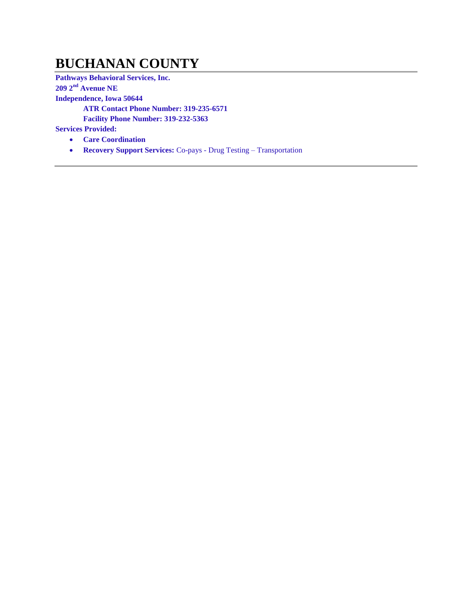#### **BUCHANAN COUNTY**

**Pathways Behavioral Services, Inc.** 

**209 2nd Avenue NE**

**Independence, Iowa 50644**

**ATR Contact Phone Number: 319-235-6571**

**Facility Phone Number: 319-232-5363**

- **Care Coordination**
- **Recovery Support Services:** Co-pays Drug Testing Transportation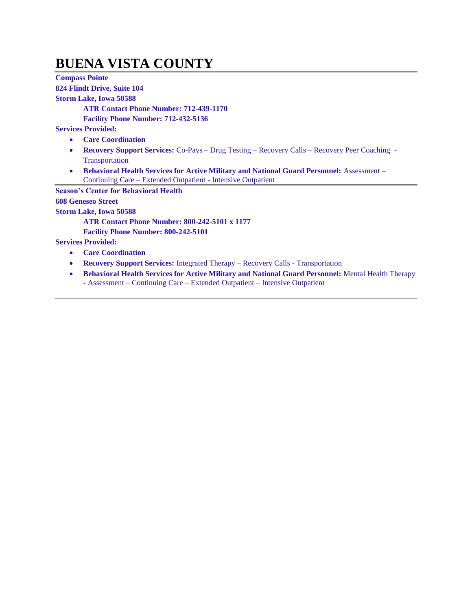#### **BUENA VISTA COUNTY**

**Compass Pointe 824 Flindt Drive, Suite 104 Storm Lake, Iowa 50588 ATR Contact Phone Number: 712-439-1170 Facility Phone Number: 712-432-5136 Services Provided: Care Coordination Recovery Support Services:** Co-Pays – Drug Testing – Recovery Calls – Recovery Peer Coaching - Transportation **Behavioral Health Services for Active Military and National Guard Personnel:** Assessment – Continuing Care – Extended Outpatient - Intensive Outpatient **Season's Center for Behavioral Health 608 Geneseo Street Storm Lake, Iowa 50588 ATR Contact Phone Number: 800-242-5101 x 1177 Facility Phone Number: 800-242-5101 Services Provided: Care Coordination Recovery Support Services:** Integrated Therapy – Recovery Calls - Transportation **Behavioral Health Services for Active Military and National Guard Personnel:** Mental Health Therapy

**-** Assessment – Continuing Care – Extended Outpatient – Intensive Outpatient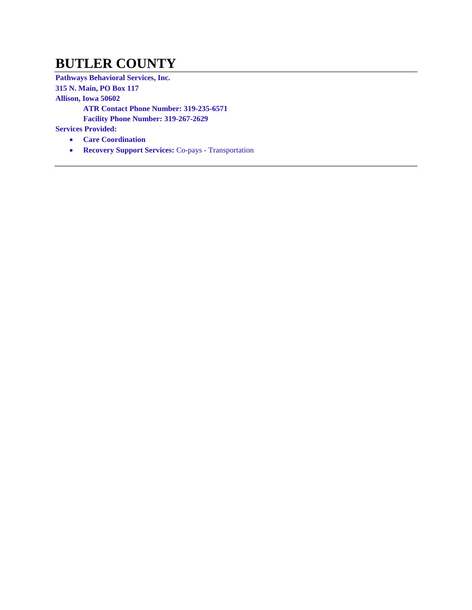#### **BUTLER COUNTY**

**Pathways Behavioral Services, Inc. 315 N. Main, PO Box 117 Allison, Iowa 50602 ATR Contact Phone Number: 319-235-6571 Facility Phone Number: 319-267-2629 Services Provided:**

- **Care Coordination**
- **Recovery Support Services:** Co-pays Transportation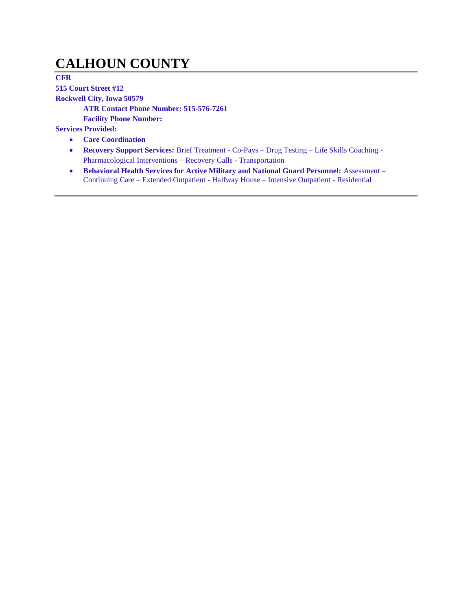# **CALHOUN COUNTY**

**CFR** 

**515 Court Street #12**

**Rockwell City, Iowa 50579**

**ATR Contact Phone Number: 515-576-7261**

**Facility Phone Number:** 

- **Care Coordination**
- **Recovery Support Services:** Brief Treatment Co-Pays Drug Testing Life Skills Coaching Pharmacological Interventions – Recovery Calls - Transportation
- **Behavioral Health Services for Active Military and National Guard Personnel: Assessment** Continuing Care – Extended Outpatient - Halfway House – Intensive Outpatient - Residential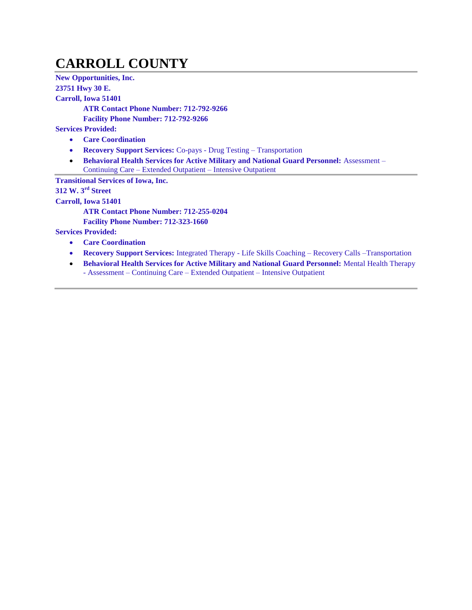# **CARROLL COUNTY**

**New Opportunities, Inc. 23751 Hwy 30 E. Carroll, Iowa 51401 ATR Contact Phone Number: 712-792-9266 Facility Phone Number: 712-792-9266 Services Provided: Care Coordination Recovery Support Services:** Co-pays - Drug Testing – Transportation **• Behavioral Health Services for Active Military and National Guard Personnel: Assessment –** Continuing Care – Extended Outpatient – Intensive Outpatient **Transitional Services of Iowa, Inc. 312 W. 3rd Street Carroll, Iowa 51401**

**ATR Contact Phone Number: 712-255-0204**

**Facility Phone Number: 712-323-1660**

- **Care Coordination**
- **Recovery Support Services:** Integrated Therapy Life Skills Coaching Recovery Calls –Transportation
- **Behavioral Health Services for Active Military and National Guard Personnel:** Mental Health Therapy - Assessment – Continuing Care – Extended Outpatient – Intensive Outpatient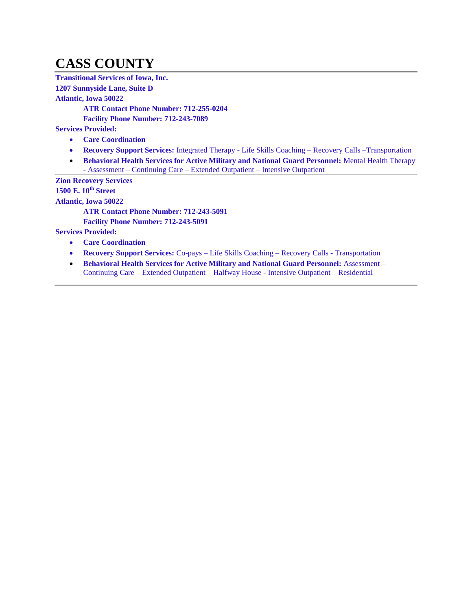# **CASS COUNTY**

**Transitional Services of Iowa, Inc.** 

**1207 Sunnyside Lane, Suite D**

**Atlantic, Iowa 50022**

**ATR Contact Phone Number: 712-255-0204**

**Facility Phone Number: 712-243-7089**

**Services Provided:**

- **Care Coordination**
- **Recovery Support Services:** Integrated Therapy Life Skills Coaching Recovery Calls –Transportation
- **Behavioral Health Services for Active Military and National Guard Personnel: Mental Health Therapy** - Assessment – Continuing Care – Extended Outpatient – Intensive Outpatient

**Zion Recovery Services**

**1500 E. 10th Street**

**Atlantic, Iowa 50022**

**ATR Contact Phone Number: 712-243-5091**

**Facility Phone Number: 712-243-5091**

- **Care Coordination**
- **Recovery Support Services:** Co-pays Life Skills Coaching Recovery Calls Transportation
- **Behavioral Health Services for Active Military and National Guard Personnel:** Assessment Continuing Care – Extended Outpatient – Halfway House - Intensive Outpatient – Residential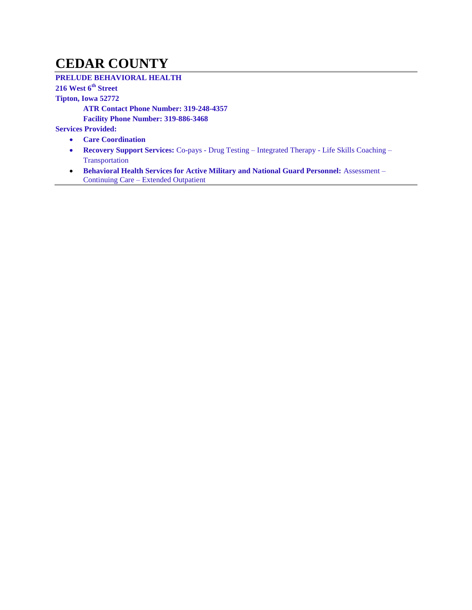#### **CEDAR COUNTY**

#### **PRELUDE BEHAVIORAL HEALTH**

#### **216 West 6th Street**

**Tipton, Iowa 52772**

**ATR Contact Phone Number: 319-248-4357**

**Facility Phone Number: 319-886-3468**

- **Care Coordination**
- **Recovery Support Services:** Co-pays Drug Testing Integrated Therapy Life Skills Coaching Transportation
- **Behavioral Health Services for Active Military and National Guard Personnel:** Assessment Continuing Care – Extended Outpatient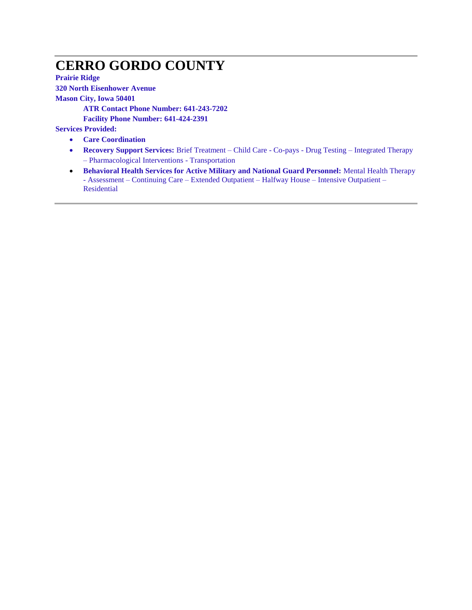# **CERRO GORDO COUNTY**

**Prairie Ridge 320 North Eisenhower Avenue**

**Mason City, Iowa 50401**

**ATR Contact Phone Number: 641-243-7202**

**Facility Phone Number: 641-424-2391**

- **Care Coordination**
- **Recovery Support Services:** Brief Treatment Child Care Co-pays Drug Testing Integrated Therapy – Pharmacological Interventions - Transportation
- **•** Behavioral Health Services for Active Military and National Guard Personnel: Mental Health Therapy - Assessment – Continuing Care – Extended Outpatient – Halfway House – Intensive Outpatient – Residential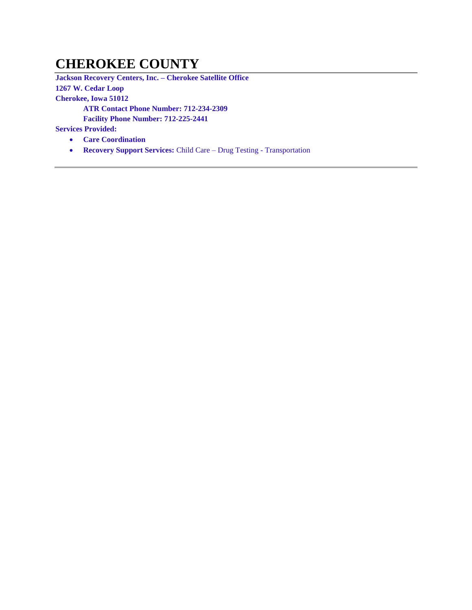## **CHEROKEE COUNTY**

**Jackson Recovery Centers, Inc. – Cherokee Satellite Office 1267 W. Cedar Loop Cherokee, Iowa 51012 ATR Contact Phone Number: 712-234-2309 Facility Phone Number: 712-225-2441**

- **Care Coordination**
- **Recovery Support Services:** Child Care Drug Testing Transportation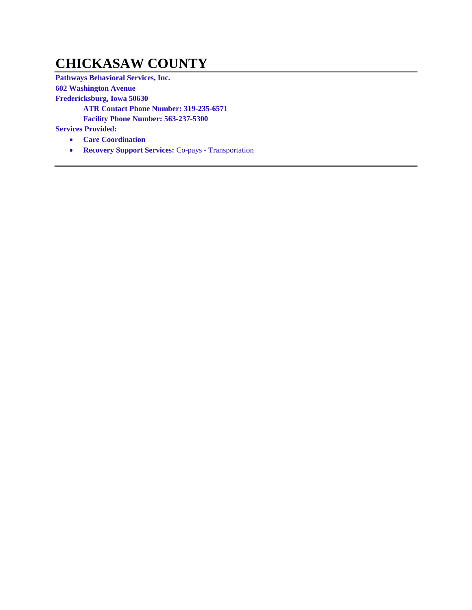#### **CHICKASAW COUNTY**

**Pathways Behavioral Services, Inc. 602 Washington Avenue Fredericksburg, Iowa 50630 ATR Contact Phone Number: 319-235-6571 Facility Phone Number: 563-237-5300 Services Provided:**

- **Care Coordination**
- **Recovery Support Services:** Co-pays Transportation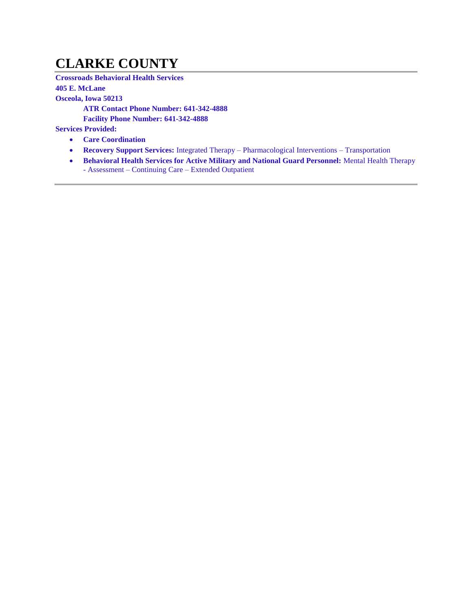#### **CLARKE COUNTY**

**Crossroads Behavioral Health Services 405 E. McLane Osceola, Iowa 50213 ATR Contact Phone Number: 641-342-4888**

**Facility Phone Number: 641-342-4888**

- **Care Coordination**
- **Recovery Support Services:** Integrated Therapy Pharmacological Interventions Transportation
- **Behavioral Health Services for Active Military and National Guard Personnel: Mental Health Therapy** - Assessment – Continuing Care – Extended Outpatient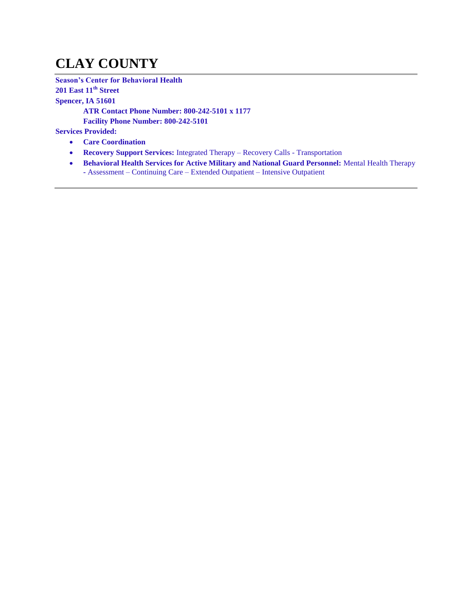# **CLAY COUNTY**

**Season's Center for Behavioral Health 201 East 11th Street Spencer, IA 51601 ATR Contact Phone Number: 800-242-5101 x 1177 Facility Phone Number: 800-242-5101**

- **Care Coordination**
- **Recovery Support Services:** Integrated Therapy Recovery Calls Transportation
- **Behavioral Health Services for Active Military and National Guard Personnel: Mental Health Therapy -** Assessment – Continuing Care – Extended Outpatient – Intensive Outpatient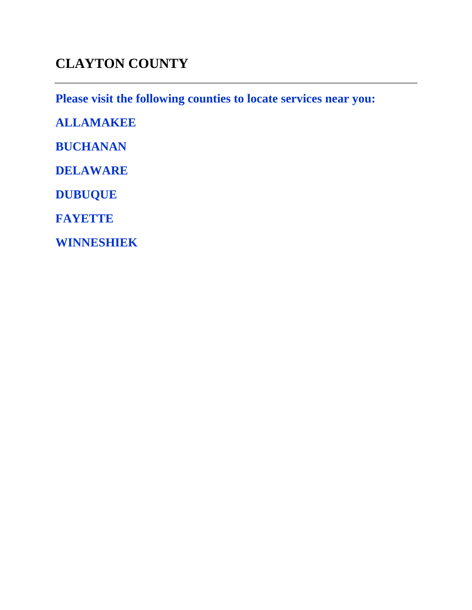# **CLAYTON COUNTY**

**Please visit the following counties to locate services near you:** 

**ALLAMAKEE**

**BUCHANAN**

**DELAWARE**

**DUBUQUE**

**FAYETTE**

**WINNESHIEK**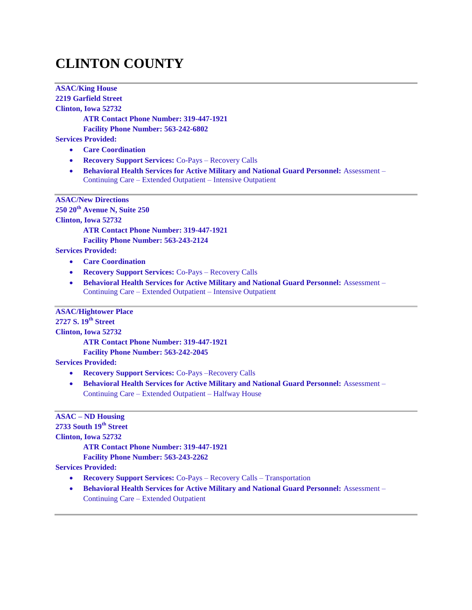# **CLINTON COUNTY**

**ASAC/King House 2219 Garfield Street Clinton, Iowa 52732 ATR Contact Phone Number: 319-447-1921 Facility Phone Number: 563-242-6802 Services Provided: Care Coordination Recovery Support Services:** Co-Pays – Recovery Calls **Behavioral Health Services for Active Military and National Guard Personnel:** Assessment – Continuing Care – Extended Outpatient – Intensive Outpatient **ASAC/New Directions 250 20th Avenue N, Suite 250 Clinton, Iowa 52732 ATR Contact Phone Number: 319-447-1921 Facility Phone Number: 563-243-2124 Services Provided: Care Coordination Recovery Support Services:** Co-Pays – Recovery Calls **Behavioral Health Services for Active Military and National Guard Personnel:** Assessment – Continuing Care – Extended Outpatient – Intensive Outpatient **ASAC/Hightower Place 2727 S. 19th Street Clinton, Iowa 52732 ATR Contact Phone Number: 319-447-1921 Facility Phone Number: 563-242-2045 Services Provided: Recovery Support Services:** Co-Pays –Recovery Calls **Behavioral Health Services for Active Military and National Guard Personnel:** Assessment – Continuing Care – Extended Outpatient – Halfway House **ASAC – ND Housing**

**2733 South 19th Street Clinton, Iowa 52732 ATR Contact Phone Number: 319-447-1921 Facility Phone Number: 563-243-2262 Services Provided:**

- **Recovery Support Services:** Co-Pays Recovery Calls Transportation
- **Behavioral Health Services for Active Military and National Guard Personnel:** Assessment Continuing Care – Extended Outpatient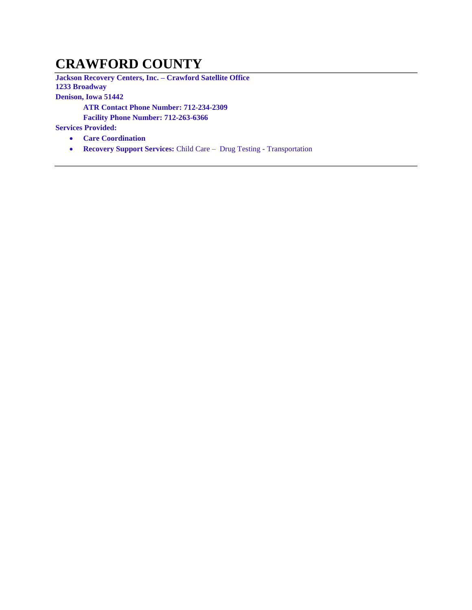#### **CRAWFORD COUNTY**

**Jackson Recovery Centers, Inc. – Crawford Satellite Office 1233 Broadway Denison, Iowa 51442 ATR Contact Phone Number: 712-234-2309 Facility Phone Number: 712-263-6366**

- **Care Coordination**
- **Recovery Support Services:** Child Care Drug Testing Transportation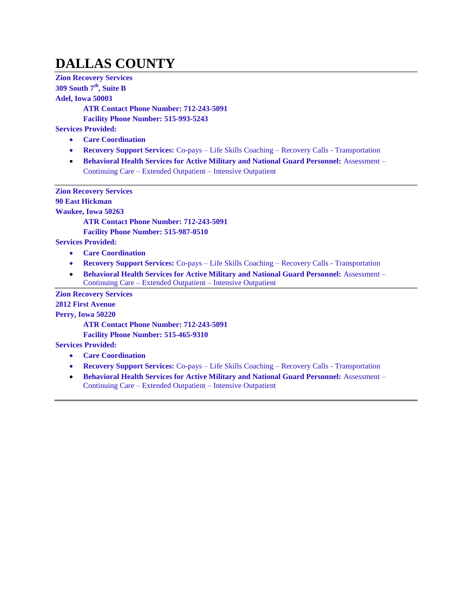# **DALLAS COUNTY**

**Zion Recovery Services 309 South 7th, Suite B Adel, Iowa 50003 ATR Contact Phone Number: 712-243-5091 Facility Phone Number: 515-993-5243 Services Provided: Care Coordination Recovery Support Services:** Co-pays – Life Skills Coaching – Recovery Calls - Transportation **Behavioral Health Services for Active Military and National Guard Personnel:** Assessment – Continuing Care – Extended Outpatient – Intensive Outpatient **Zion Recovery Services 90 East Hickman Waukee, Iowa 50263 ATR Contact Phone Number: 712-243-5091 Facility Phone Number: 515-987-0510 Services Provided: Care Coordination Recovery Support Services:** Co-pays – Life Skills Coaching – Recovery Calls - Transportation **Behavioral Health Services for Active Military and National Guard Personnel:** Assessment – Continuing Care – Extended Outpatient – Intensive Outpatient **Zion Recovery Services 2812 First Avenue Perry, Iowa 50220 ATR Contact Phone Number: 712-243-5091**

**Facility Phone Number: 515-465-9310**

- **Care Coordination**
- **Recovery Support Services:** Co-pays Life Skills Coaching Recovery Calls Transportation
- **Behavioral Health Services for Active Military and National Guard Personnel: Assessment** Continuing Care – Extended Outpatient – Intensive Outpatient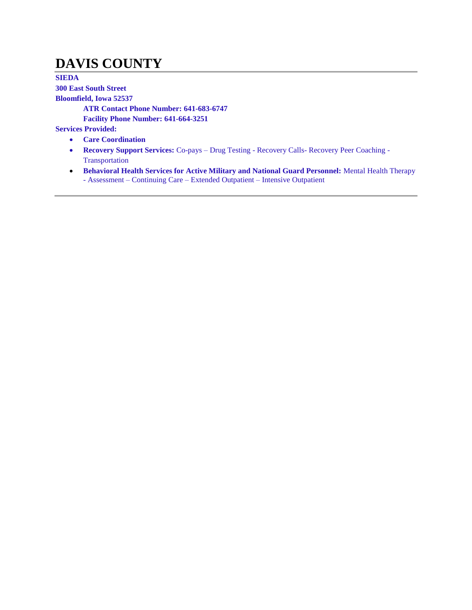# **DAVIS COUNTY**

**SIEDA 300 East South Street Bloomfield, Iowa 52537 ATR Contact Phone Number: 641-683-6747 Facility Phone Number: 641-664-3251 Services Provided: Care Coordination**

- **Recovery Support Services:** Co-pays Drug Testing Recovery Calls- Recovery Peer Coaching Transportation
- **Behavioral Health Services for Active Military and National Guard Personnel:** Mental Health Therapy - Assessment – Continuing Care – Extended Outpatient – Intensive Outpatient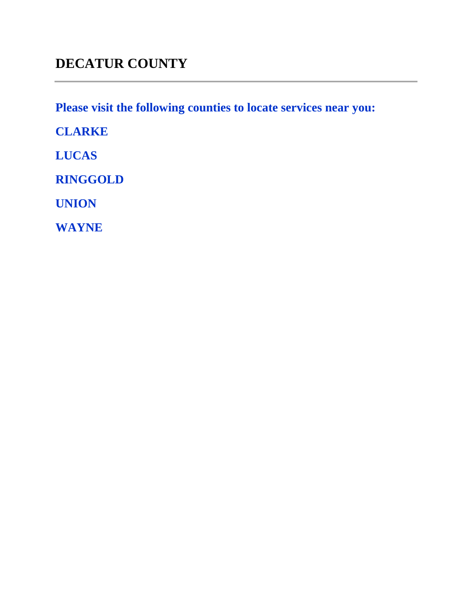# **DECATUR COUNTY**

**Please visit the following counties to locate services near you:** 

**CLARKE**

**LUCAS**

**RINGGOLD**

**UNION**

**WAYNE**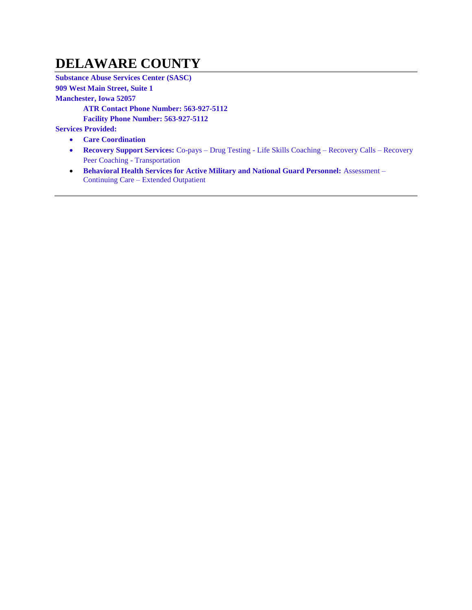#### **DELAWARE COUNTY**

**Substance Abuse Services Center (SASC) 909 West Main Street, Suite 1 Manchester, Iowa 52057 ATR Contact Phone Number: 563-927-5112 Facility Phone Number: 563-927-5112 Services Provided:**

- **Care Coordination**
- **Recovery Support Services:** Co-pays Drug Testing Life Skills Coaching Recovery Calls Recovery Peer Coaching - Transportation
- **Behavioral Health Services for Active Military and National Guard Personnel:** Assessment Continuing Care – Extended Outpatient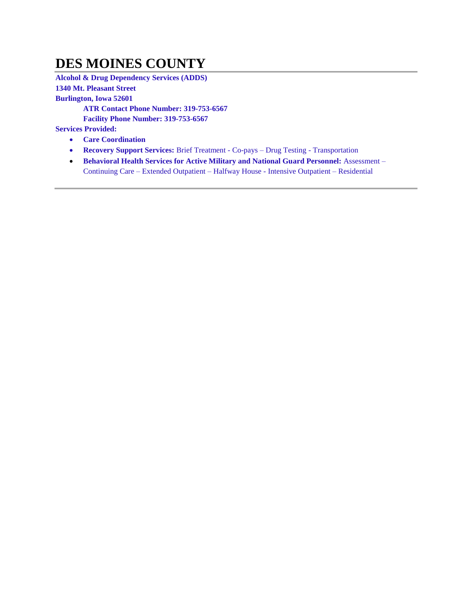#### **DES MOINES COUNTY**

**Alcohol & Drug Dependency Services (ADDS) 1340 Mt. Pleasant Street Burlington, Iowa 52601 ATR Contact Phone Number: 319-753-6567 Facility Phone Number: 319-753-6567 Services Provided:**

- **Care Coordination**
- **Recovery Support Services:** Brief Treatment Co-pays Drug Testing Transportation
- **Behavioral Health Services for Active Military and National Guard Personnel: Assessment** Continuing Care – Extended Outpatient – Halfway House - Intensive Outpatient – Residential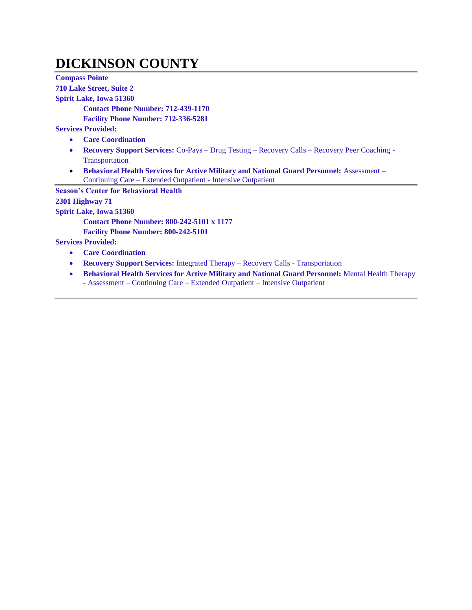#### **DICKINSON COUNTY**

**Compass Pointe 710 Lake Street, Suite 2 Spirit Lake, Iowa 51360 Contact Phone Number: 712-439-1170 Facility Phone Number: 712-336-5281 Services Provided: Care Coordination Recovery Support Services:** Co-Pays – Drug Testing – Recovery Calls – Recovery Peer Coaching - Transportation **Behavioral Health Services for Active Military and National Guard Personnel:** Assessment – Continuing Care – Extended Outpatient - Intensive Outpatient **Season's Center for Behavioral Health 2301 Highway 71 Spirit Lake, Iowa 51360 Contact Phone Number: 800-242-5101 x 1177 Facility Phone Number: 800-242-5101 Services Provided: Care Coordination Recovery Support Services:** Integrated Therapy – Recovery Calls - Transportation **Behavioral Health Services for Active Military and National Guard Personnel:** Mental Health Therapy **-** Assessment – Continuing Care – Extended Outpatient – Intensive Outpatient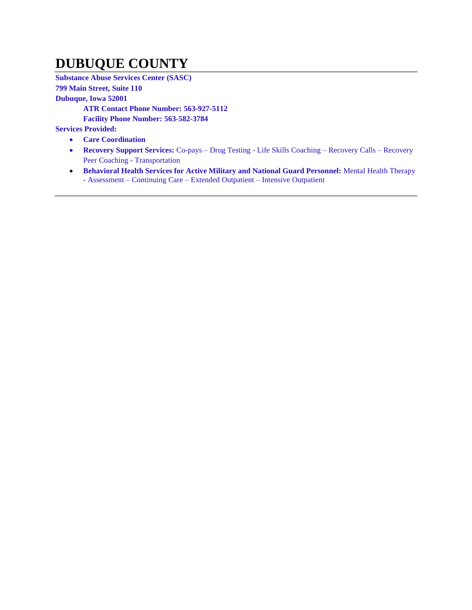## **DUBUQUE COUNTY**

**Substance Abuse Services Center (SASC)**

**799 Main Street, Suite 110**

**Dubuque, Iowa 52001**

**ATR Contact Phone Number: 563-927-5112**

**Facility Phone Number: 563-582-3784**

- **Care Coordination**
- **Recovery Support Services:** Co-pays Drug Testing Life Skills Coaching Recovery Calls Recovery Peer Coaching - Transportation
- **Behavioral Health Services for Active Military and National Guard Personnel:** Mental Health Therapy - Assessment – Continuing Care – Extended Outpatient – Intensive Outpatient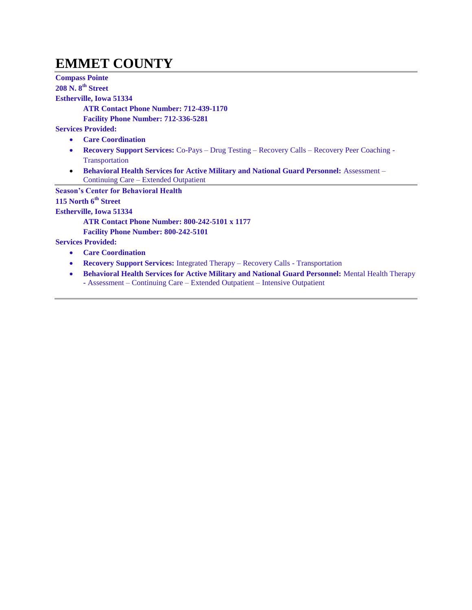## **EMMET COUNTY**

**Compass Pointe 208 N. 8th Street Estherville, Iowa 51334 ATR Contact Phone Number: 712-439-1170 Facility Phone Number: 712-336-5281 Services Provided: Care Coordination Recovery Support Services:** Co-Pays – Drug Testing – Recovery Calls – Recovery Peer Coaching - Transportation **• Behavioral Health Services for Active Military and National Guard Personnel:** Assessment – Continuing Care – Extended Outpatient **Season's Center for Behavioral Health 115 North 6th Street Estherville, Iowa 51334 ATR Contact Phone Number: 800-242-5101 x 1177 Facility Phone Number: 800-242-5101 Services Provided: Care Coordination Recovery Support Services:** Integrated Therapy – Recovery Calls - Transportation **Behavioral Health Services for Active Military and National Guard Personnel:** Mental Health Therapy **-** Assessment – Continuing Care – Extended Outpatient – Intensive Outpatient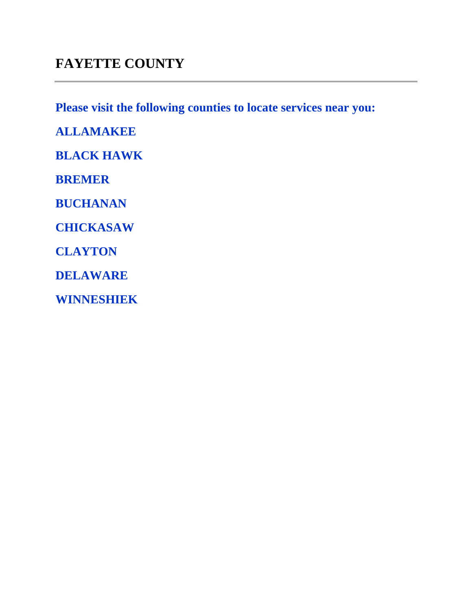#### **FAYETTE COUNTY**

**Please visit the following counties to locate services near you:** 

**ALLAMAKEE BLACK HAWK BREMER BUCHANAN CHICKASAW CLAYTON DELAWARE**

**WINNESHIEK**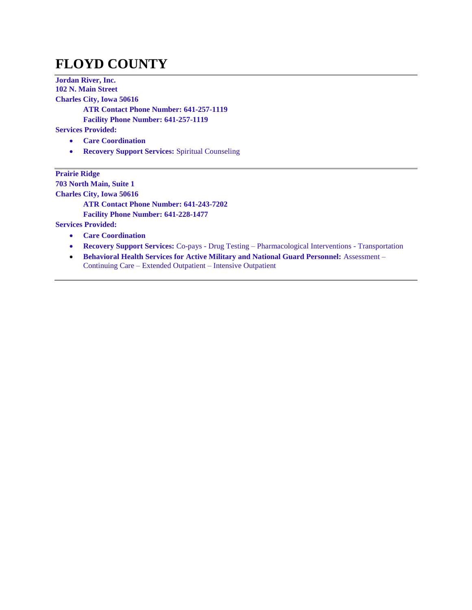# **FLOYD COUNTY**

**Jordan River, Inc. 102 N. Main Street Charles City, Iowa 50616 ATR Contact Phone Number: 641-257-1119 Facility Phone Number: 641-257-1119 Services Provided: Care Coordination**

**• Recovery Support Services: Spiritual Counseling** 

**Prairie Ridge 703 North Main, Suite 1 Charles City, Iowa 50616 ATR Contact Phone Number: 641-243-7202 Facility Phone Number: 641-228-1477 Services Provided:**

- **Care Coordination**
- **Recovery Support Services:** Co-pays Drug Testing Pharmacological Interventions Transportation
- **Behavioral Health Services for Active Military and National Guard Personnel:** Assessment Continuing Care – Extended Outpatient – Intensive Outpatient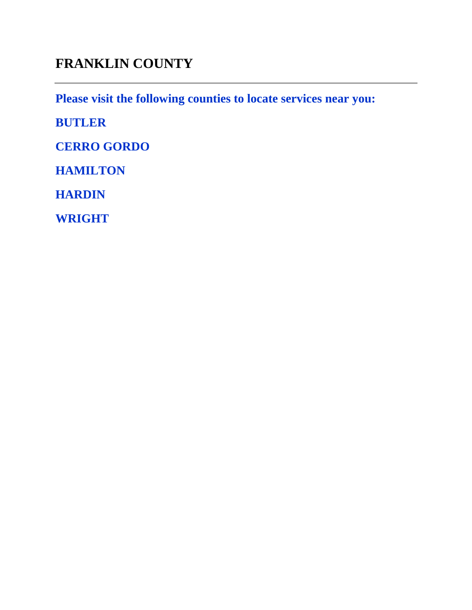## **FRANKLIN COUNTY**

**Please visit the following counties to locate services near you:** 

**BUTLER**

**CERRO GORDO**

**HAMILTON**

**HARDIN**

**WRIGHT**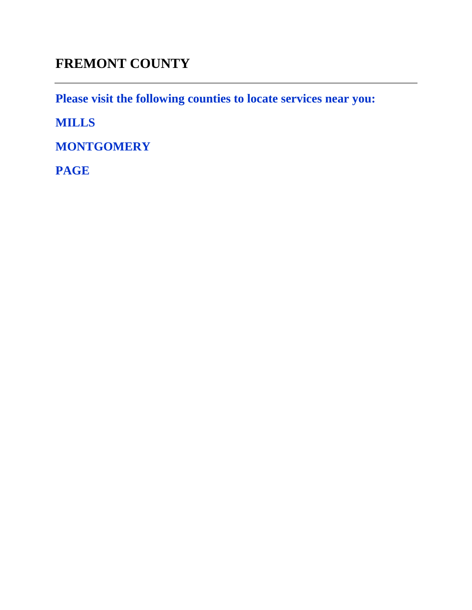# **FREMONT COUNTY**

**Please visit the following counties to locate services near you:** 

**MILLS**

**MONTGOMERY**

**PAGE**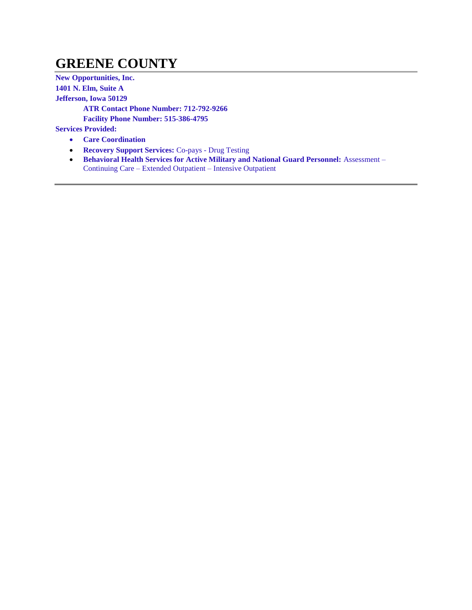#### **GREENE COUNTY**

**New Opportunities, Inc. 1401 N. Elm, Suite A Jefferson, Iowa 50129 ATR Contact Phone Number: 712-792-9266 Facility Phone Number: 515-386-4795 Services Provided: Care Coordination**

- **Recovery Support Services:** Co-pays Drug Testing
- **Behavioral Health Services for Active Military and National Guard Personnel: Assessment** Continuing Care – Extended Outpatient – Intensive Outpatient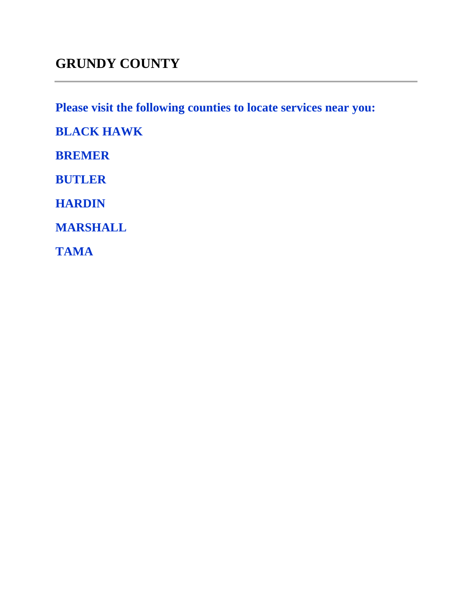### **GRUNDY COUNTY**

**Please visit the following counties to locate services near you:** 

**BLACK HAWK**

**BREMER**

**BUTLER**

**HARDIN**

**MARSHALL**

**TAMA**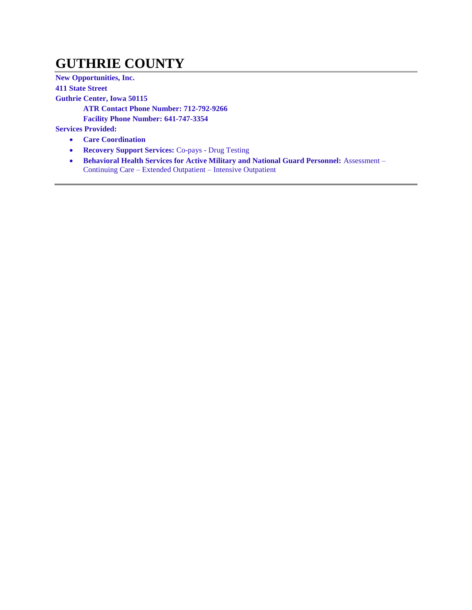### **GUTHRIE COUNTY**

**New Opportunities, Inc. 411 State Street Guthrie Center, Iowa 50115 ATR Contact Phone Number: 712-792-9266 Facility Phone Number: 641-747-3354 Services Provided:**

- **Care Coordination**
- **Recovery Support Services:** Co-pays Drug Testing
- **Behavioral Health Services for Active Military and National Guard Personnel: Assessment** Continuing Care – Extended Outpatient – Intensive Outpatient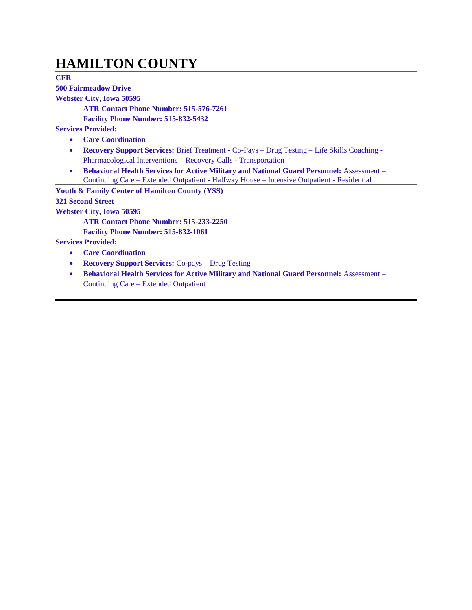#### **HAMILTON COUNTY**

**CFR** 

**500 Fairmeadow Drive**

**Webster City, Iowa 50595**

**ATR Contact Phone Number: 515-576-7261**

**Facility Phone Number: 515-832-5432**

**Services Provided:**

- **Care Coordination**
- **Recovery Support Services:** Brief Treatment Co-Pays Drug Testing Life Skills Coaching Pharmacological Interventions – Recovery Calls - Transportation
- **Behavioral Health Services for Active Military and National Guard Personnel:** Assessment Continuing Care – Extended Outpatient - Halfway House – Intensive Outpatient - Residential

**Youth & Family Center of Hamilton County (YSS) 321 Second Street Webster City, Iowa 50595**

**ATR Contact Phone Number: 515-233-2250**

**Facility Phone Number: 515-832-1061**

- **Care Coordination**
- **Recovery Support Services:** Co-pays Drug Testing
- **Behavioral Health Services for Active Military and National Guard Personnel:** Assessment Continuing Care – Extended Outpatient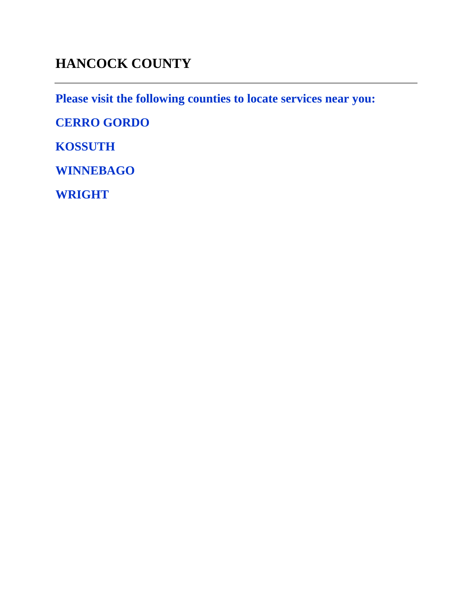# **HANCOCK COUNTY**

**Please visit the following counties to locate services near you:** 

**CERRO GORDO**

**KOSSUTH**

**WINNEBAGO**

**WRIGHT**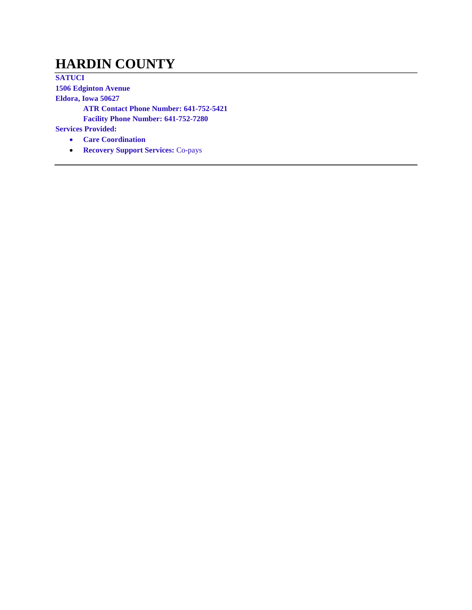#### **HARDIN COUNTY**

**SATUCI 1506 Edginton Avenue Eldora, Iowa 50627 ATR Contact Phone Number: 641-752-5421 Facility Phone Number: 641-752-7280 Services Provided:**

- **Care Coordination**
- **Recovery Support Services:** Co-pays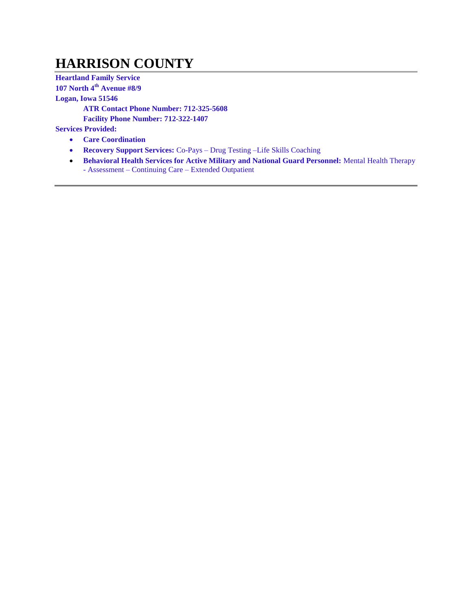### **HARRISON COUNTY**

**Heartland Family Service**

**107 North 4th Avenue #8/9**

**Logan, Iowa 51546**

**ATR Contact Phone Number: 712-325-5608**

**Facility Phone Number: 712-322-1407**

- **Care Coordination**
- **Recovery Support Services:** Co-Pays Drug Testing –Life Skills Coaching
- **Behavioral Health Services for Active Military and National Guard Personnel:** Mental Health Therapy - Assessment – Continuing Care – Extended Outpatient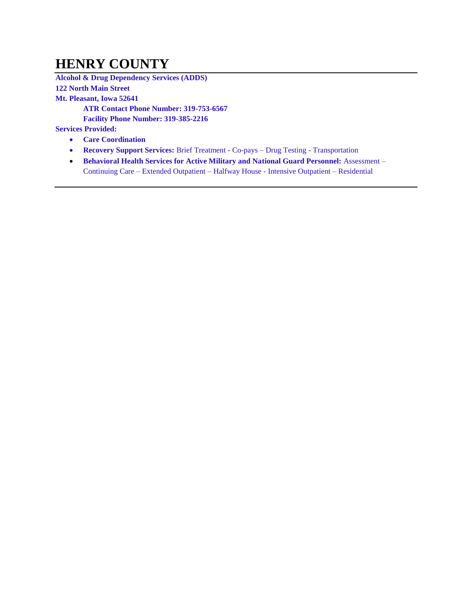### **HENRY COUNTY**

**Alcohol & Drug Dependency Services (ADDS) 122 North Main Street Mt. Pleasant, Iowa 52641 ATR Contact Phone Number: 319-753-6567 Facility Phone Number: 319-385-2216 Services Provided:**

- **Care Coordination**
- **Recovery Support Services:** Brief Treatment Co-pays Drug Testing Transportation
- **Behavioral Health Services for Active Military and National Guard Personnel: Assessment** Continuing Care – Extended Outpatient – Halfway House - Intensive Outpatient – Residential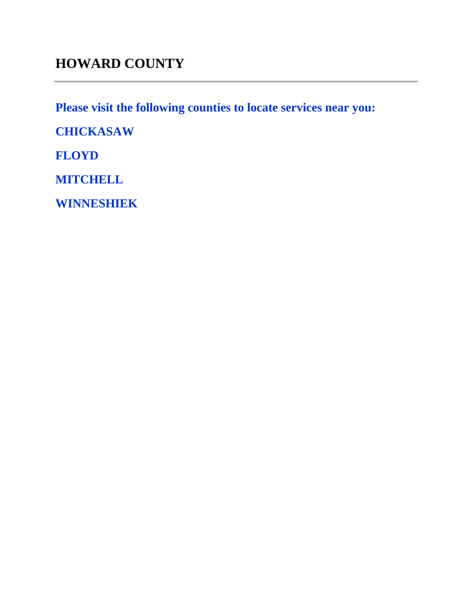**Please visit the following counties to locate services near you:** 

**CHICKASAW**

**FLOYD**

**MITCHELL**

**WINNESHIEK**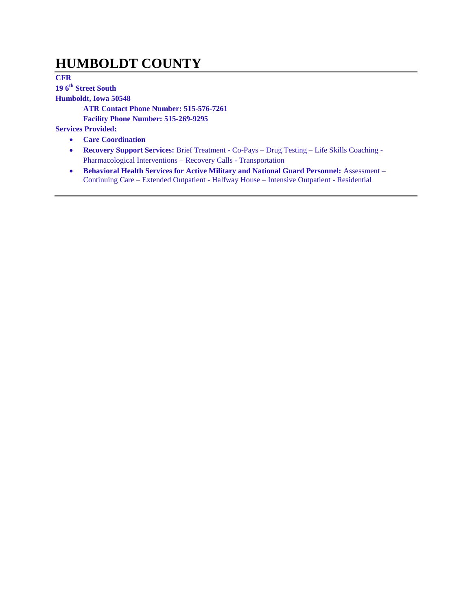#### **HUMBOLDT COUNTY**

**CFR 19 6th Street South Humboldt, Iowa 50548 ATR Contact Phone Number: 515-576-7261**

**Facility Phone Number: 515-269-9295**

- **Care Coordination**
- **Recovery Support Services:** Brief Treatment Co-Pays Drug Testing Life Skills Coaching Pharmacological Interventions – Recovery Calls - Transportation
- **Behavioral Health Services for Active Military and National Guard Personnel: Assessment** Continuing Care – Extended Outpatient - Halfway House – Intensive Outpatient - Residential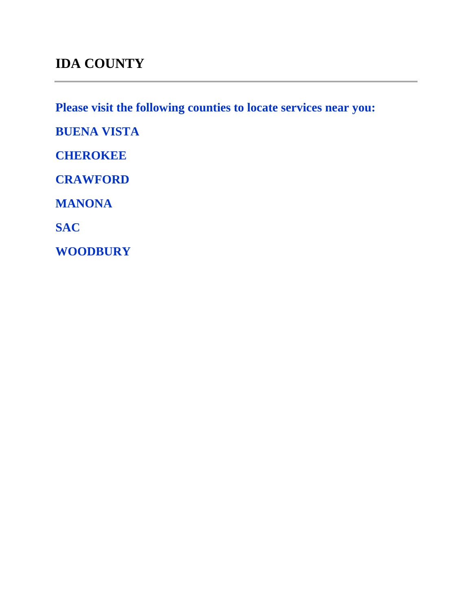### **IDA COUNTY**

**Please visit the following counties to locate services near you:** 

**BUENA VISTA**

**CHEROKEE**

**CRAWFORD**

**MANONA**

**SAC**

**WOODBURY**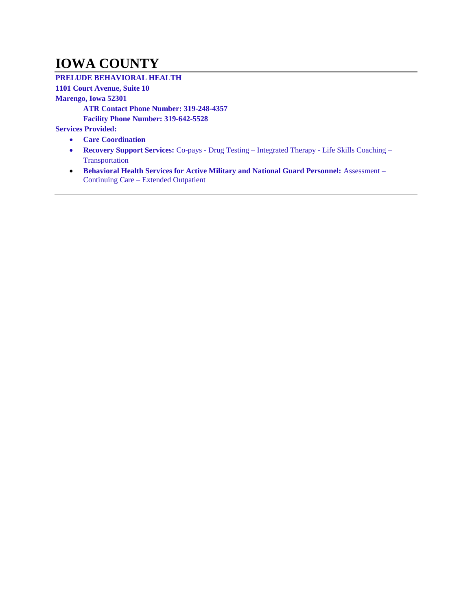### **IOWA COUNTY**

#### **PRELUDE BEHAVIORAL HEALTH**

**1101 Court Avenue, Suite 10**

**Marengo, Iowa 52301**

**ATR Contact Phone Number: 319-248-4357**

**Facility Phone Number: 319-642-5528**

- **Care Coordination**
- **Recovery Support Services:** Co-pays Drug Testing Integrated Therapy Life Skills Coaching Transportation
- **Behavioral Health Services for Active Military and National Guard Personnel:** Assessment Continuing Care – Extended Outpatient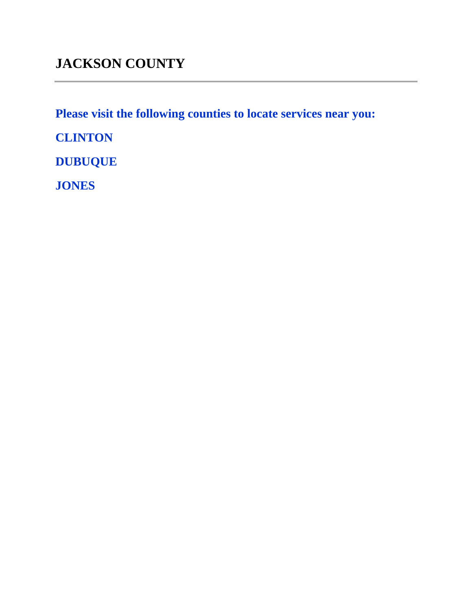**Please visit the following counties to locate services near you:** 

**CLINTON**

**DUBUQUE**

**JONES**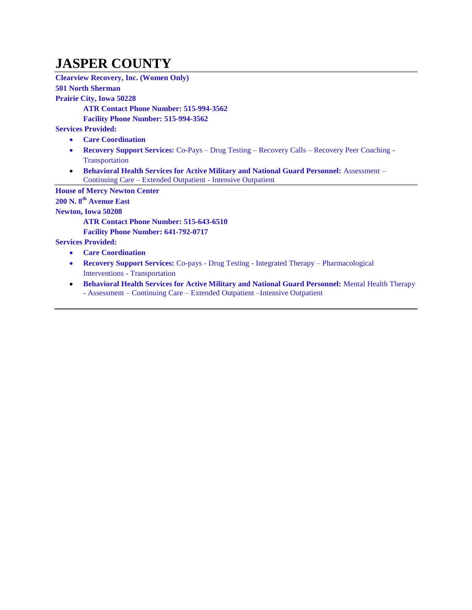### **JASPER COUNTY**

**Clearview Recovery, Inc. (Women Only)**

**501 North Sherman Prairie City, Iowa 50228 ATR Contact Phone Number: 515-994-3562 Facility Phone Number: 515-994-3562 Services Provided: Care Coordination Recovery Support Services:** Co-Pays – Drug Testing – Recovery Calls – Recovery Peer Coaching - **Transportation Behavioral Health Services for Active Military and National Guard Personnel:** Assessment – Continuing Care – Extended Outpatient - Intensive Outpatient **House of Mercy Newton Center 200 N. 8th Avenue East Newton, Iowa 50208 ATR Contact Phone Number: 515-643-6510 Facility Phone Number: 641-792-0717 Services Provided: Care Coordination**

- **Recovery Support Services:** Co-pays Drug Testing Integrated Therapy Pharmacological Interventions - Transportation
- **Behavioral Health Services for Active Military and National Guard Personnel: Mental Health Therapy** - Assessment – Continuing Care – Extended Outpatient –Intensive Outpatient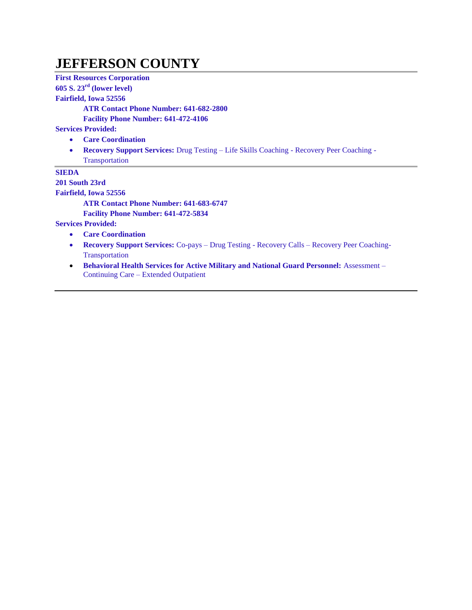#### **JEFFERSON COUNTY**

**First Resources Corporation**

**605 S. 23rd (lower level)**

**Fairfield, Iowa 52556**

**ATR Contact Phone Number: 641-682-2800**

**Facility Phone Number: 641-472-4106**

**Services Provided:**

- **Care Coordination**
- **Recovery Support Services:** Drug Testing Life Skills Coaching Recovery Peer Coaching Transportation

**SIEDA**

**201 South 23rd**

**Fairfield, Iowa 52556**

**ATR Contact Phone Number: 641-683-6747**

**Facility Phone Number: 641-472-5834**

- **Care Coordination**
- **Recovery Support Services:** Co-pays Drug Testing Recovery Calls Recovery Peer Coaching-**Transportation**
- **Behavioral Health Services for Active Military and National Guard Personnel: Assessment** Continuing Care – Extended Outpatient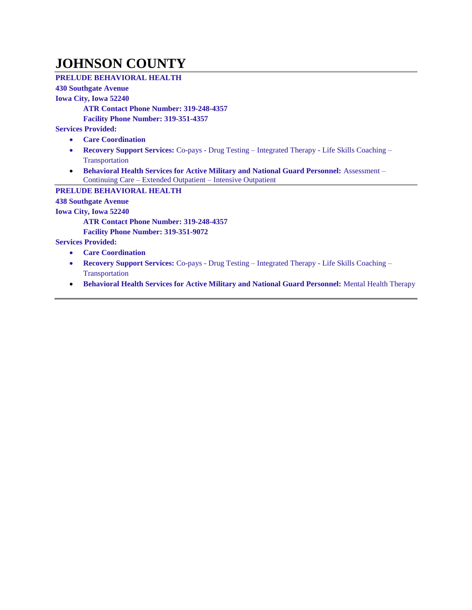#### **JOHNSON COUNTY**

#### **PRELUDE BEHAVIORAL HEALTH**

#### **430 Southgate Avenue**

#### **Iowa City, Iowa 52240**

**ATR Contact Phone Number: 319-248-4357**

**Facility Phone Number: 319-351-4357**

**Services Provided:**

- **Care Coordination**
- **Recovery Support Services:** Co-pays Drug Testing Integrated Therapy Life Skills Coaching **Transportation**
- **Behavioral Health Services for Active Military and National Guard Personnel:** Assessment Continuing Care – Extended Outpatient – Intensive Outpatient

**PRELUDE BEHAVIORAL HEALTH**

**438 Southgate Avenue**

**Iowa City, Iowa 52240**

**ATR Contact Phone Number: 319-248-4357**

**Facility Phone Number: 319-351-9072**

- **Care Coordination**
- **Recovery Support Services:** Co-pays Drug Testing Integrated Therapy Life Skills Coaching Transportation
- **Behavioral Health Services for Active Military and National Guard Personnel: Mental Health Therapy**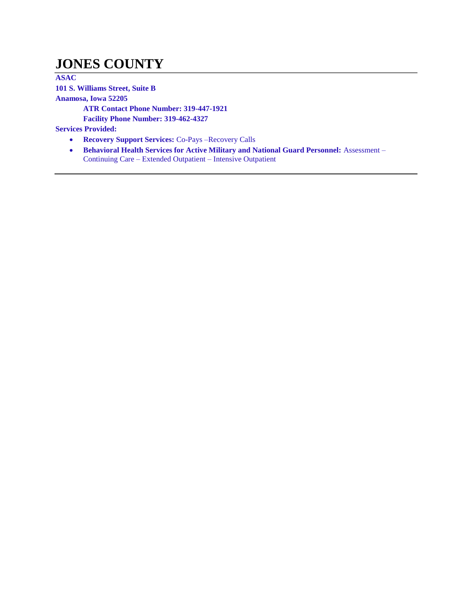#### **JONES COUNTY**

**ASAC 101 S. Williams Street, Suite B**

**Anamosa, Iowa 52205**

**ATR Contact Phone Number: 319-447-1921**

**Facility Phone Number: 319-462-4327**

- **Recovery Support Services:** Co-Pays –Recovery Calls
- **•** Behavioral Health Services for Active Military and National Guard Personnel: Assessment Continuing Care – Extended Outpatient – Intensive Outpatient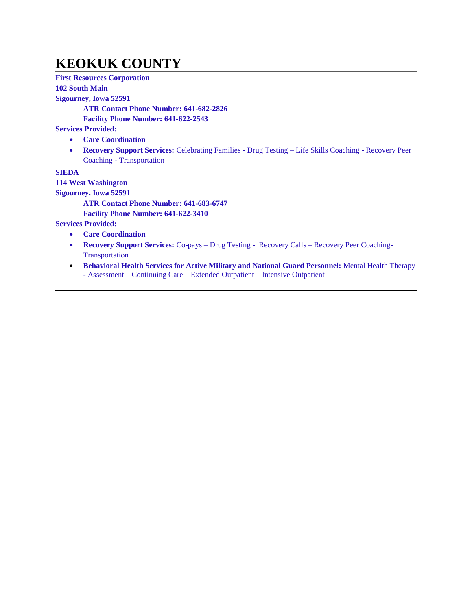#### **KEOKUK COUNTY**

**First Resources Corporation**

#### **102 South Main**

**Sigourney, Iowa 52591**

**ATR Contact Phone Number: 641-682-2826**

**Facility Phone Number: 641-622-2543**

**Services Provided:**

- **Care Coordination**
- **Recovery Support Services:** Celebrating Families Drug Testing Life Skills Coaching Recovery Peer Coaching - Transportation

#### **SIEDA**

**114 West Washington**

**Sigourney, Iowa 52591**

**ATR Contact Phone Number: 641-683-6747**

**Facility Phone Number: 641-622-3410**

- **Care Coordination**
- **Recovery Support Services:** Co-pays Drug Testing Recovery Calls Recovery Peer Coaching-**Transportation**
- **Behavioral Health Services for Active Military and National Guard Personnel:** Mental Health Therapy - Assessment – Continuing Care – Extended Outpatient – Intensive Outpatient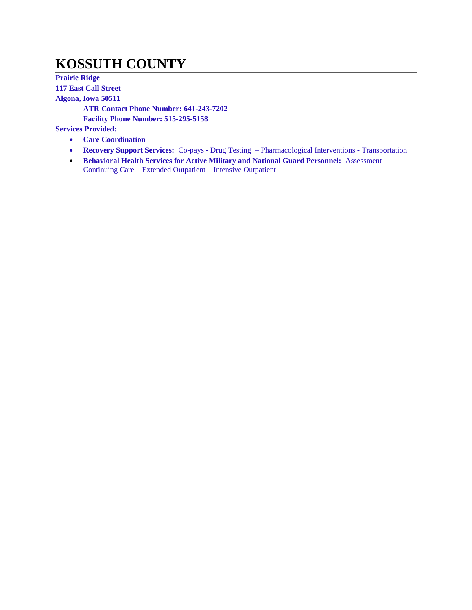### **KOSSUTH COUNTY**

**Prairie Ridge 117 East Call Street Algona, Iowa 50511 ATR Contact Phone Number: 641-243-7202 Facility Phone Number: 515-295-5158 Services Provided: Care Coordination**

- **Recovery Support Services:** Co-pays Drug Testing Pharmacological Interventions Transportation
- **Behavioral Health Services for Active Military and National Guard Personnel:** Assessment Continuing Care – Extended Outpatient – Intensive Outpatient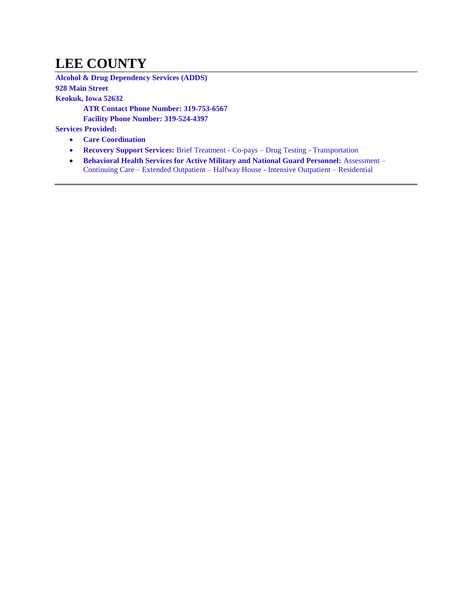## **LEE COUNTY**

**Alcohol & Drug Dependency Services (ADDS) 928 Main Street Keokuk, Iowa 52632 ATR Contact Phone Number: 319-753-6567 Facility Phone Number: 319-524-4397**

- **Care Coordination**
- **Recovery Support Services:** Brief Treatment Co-pays Drug Testing Transportation
- **Behavioral Health Services for Active Military and National Guard Personnel: Assessment** Continuing Care – Extended Outpatient – Halfway House - Intensive Outpatient – Residential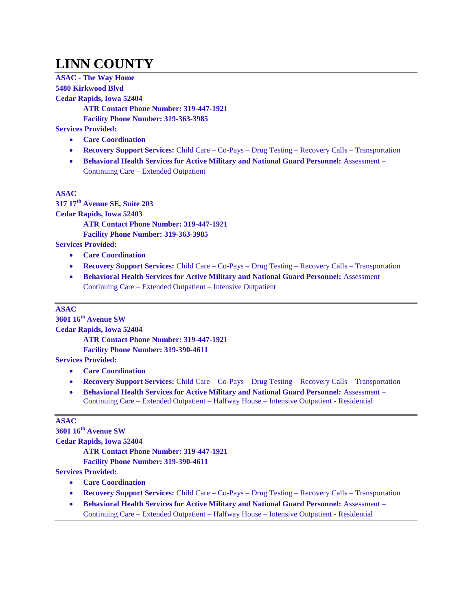# **LINN COUNTY**

**ASAC - The Way Home 5480 Kirkwood Blvd Cedar Rapids, Iowa 52404**

**ATR Contact Phone Number: 319-447-1921 Facility Phone Number: 319-363-3985**

**Services Provided:**

- **Care Coordination**
- **Recovery Support Services:** Child Care Co-Pays Drug Testing Recovery Calls Transportation
- **Behavioral Health Services for Active Military and National Guard Personnel:** Assessment Continuing Care – Extended Outpatient

#### **ASAC**

**317 17th Avenue SE, Suite 203**

**Cedar Rapids, Iowa 52403**

**ATR Contact Phone Number: 319-447-1921**

**Facility Phone Number: 319-363-3985**

**Services Provided:**

- **Care Coordination**
- **Recovery Support Services:** Child Care Co-Pays Drug Testing Recovery Calls Transportation
- **Behavioral Health Services for Active Military and National Guard Personnel:** Assessment Continuing Care – Extended Outpatient – Intensive Outpatient

#### **ASAC**

**3601 16th Avenue SW Cedar Rapids, Iowa 52404 ATR Contact Phone Number: 319-447-1921 Facility Phone Number: 319-390-4611 Services Provided:**

- **Care Coordination**
- **Recovery Support Services:** Child Care Co-Pays Drug Testing Recovery Calls Transportation
- **Behavioral Health Services for Active Military and National Guard Personnel:** Assessment Continuing Care – Extended Outpatient – Halfway House – Intensive Outpatient - Residential

#### **ASAC**

**3601 16th Avenue SW Cedar Rapids, Iowa 52404 ATR Contact Phone Number: 319-447-1921 Facility Phone Number: 319-390-4611 Services Provided:**

- **Care Coordination**
- **Recovery Support Services:** Child Care Co-Pays Drug Testing Recovery Calls Transportation
- **Behavioral Health Services for Active Military and National Guard Personnel:** Assessment Continuing Care – Extended Outpatient – Halfway House – Intensive Outpatient - Residential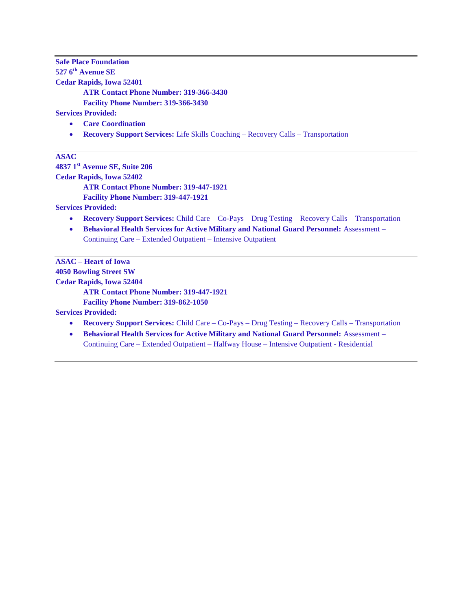**Safe Place Foundation 527 6th Avenue SE Cedar Rapids, Iowa 52401 ATR Contact Phone Number: 319-366-3430 Facility Phone Number: 319-366-3430 Services Provided:**

- **Care Coordination**
- **Recovery Support Services:** Life Skills Coaching Recovery Calls Transportation

**ASAC** 

**4837 1st Avenue SE, Suite 206**

**Cedar Rapids, Iowa 52402**

**ATR Contact Phone Number: 319-447-1921**

**Facility Phone Number: 319-447-1921**

**Services Provided:**

- **Recovery Support Services:** Child Care Co-Pays Drug Testing Recovery Calls Transportation
- **Behavioral Health Services for Active Military and National Guard Personnel: Assessment** Continuing Care – Extended Outpatient – Intensive Outpatient

**ASAC – Heart of Iowa 4050 Bowling Street SW Cedar Rapids, Iowa 52404 ATR Contact Phone Number: 319-447-1921 Facility Phone Number: 319-862-1050 Services Provided:**

- **Recovery Support Services:** Child Care Co-Pays Drug Testing Recovery Calls Transportation
- **Behavioral Health Services for Active Military and National Guard Personnel:** Assessment Continuing Care – Extended Outpatient – Halfway House – Intensive Outpatient - Residential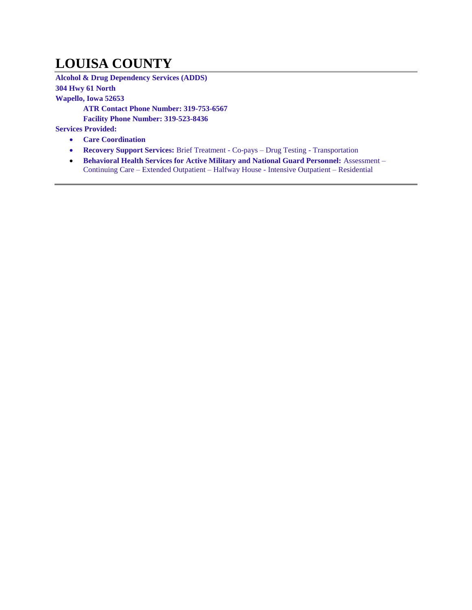# **LOUISA COUNTY**

**Alcohol & Drug Dependency Services (ADDS) 304 Hwy 61 North Wapello, Iowa 52653 ATR Contact Phone Number: 319-753-6567 Facility Phone Number: 319-523-8436**

- **Care Coordination**
- **Recovery Support Services:** Brief Treatment Co-pays Drug Testing Transportation
- **Behavioral Health Services for Active Military and National Guard Personnel: Assessment** Continuing Care – Extended Outpatient – Halfway House - Intensive Outpatient – Residential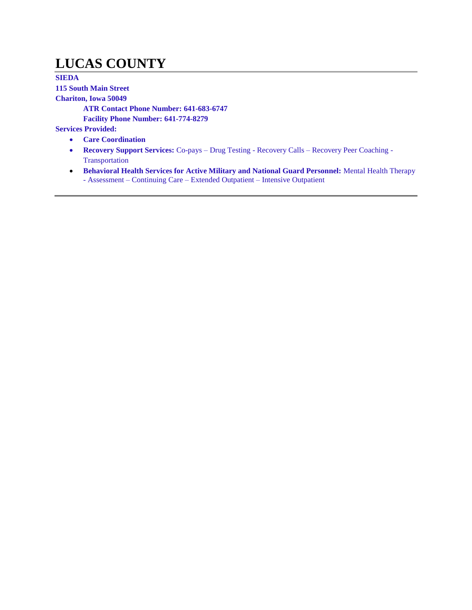### **LUCAS COUNTY**

**SIEDA 115 South Main Street Chariton, Iowa 50049 ATR Contact Phone Number: 641-683-6747 Facility Phone Number: 641-774-8279 Services Provided: Care Coordination**

- **Recovery Support Services:** Co-pays Drug Testing Recovery Calls Recovery Peer Coaching Transportation
- **Behavioral Health Services for Active Military and National Guard Personnel:** Mental Health Therapy - Assessment – Continuing Care – Extended Outpatient – Intensive Outpatient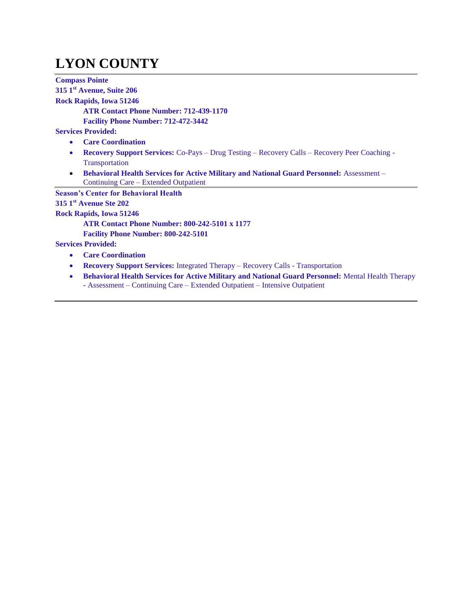# **LYON COUNTY**

**Compass Pointe 315 1st Avenue, Suite 206 Rock Rapids, Iowa 51246 ATR Contact Phone Number: 712-439-1170 Facility Phone Number: 712-472-3442 Services Provided: Care Coordination Recovery Support Services:** Co-Pays – Drug Testing – Recovery Calls – Recovery Peer Coaching - **Transportation • Behavioral Health Services for Active Military and National Guard Personnel: Assessment –** Continuing Care – Extended Outpatient **Season's Center for Behavioral Health 315 1st Avenue Ste 202 Rock Rapids, Iowa 51246 ATR Contact Phone Number: 800-242-5101 x 1177 Facility Phone Number: 800-242-5101 Services Provided: Care Coordination Recovery Support Services:** Integrated Therapy – Recovery Calls - Transportation **Behavioral Health Services for Active Military and National Guard Personnel:** Mental Health Therapy **-** Assessment – Continuing Care – Extended Outpatient – Intensive Outpatient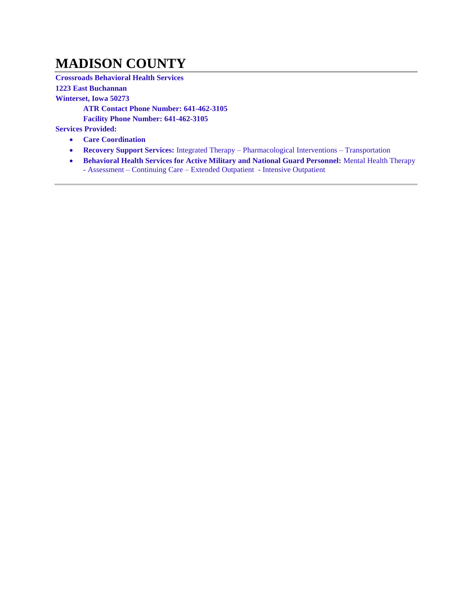#### **MADISON COUNTY**

**Crossroads Behavioral Health Services** 

**1223 East Buchannan**

**Winterset, Iowa 50273**

**ATR Contact Phone Number: 641-462-3105**

**Facility Phone Number: 641-462-3105**

- **Care Coordination**
- **Recovery Support Services:** Integrated Therapy Pharmacological Interventions Transportation
- **Behavioral Health Services for Active Military and National Guard Personnel: Mental Health Therapy** - Assessment – Continuing Care – Extended Outpatient - Intensive Outpatient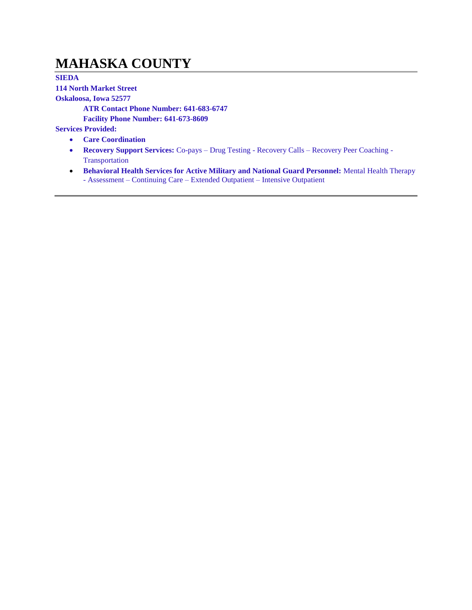### **MAHASKA COUNTY**

**SIEDA 114 North Market Street Oskaloosa, Iowa 52577 ATR Contact Phone Number: 641-683-6747 Facility Phone Number: 641-673-8609 Services Provided:**

- **Care Coordination**
- **Recovery Support Services:** Co-pays Drug Testing Recovery Calls Recovery Peer Coaching Transportation
- **Behavioral Health Services for Active Military and National Guard Personnel:** Mental Health Therapy - Assessment – Continuing Care – Extended Outpatient – Intensive Outpatient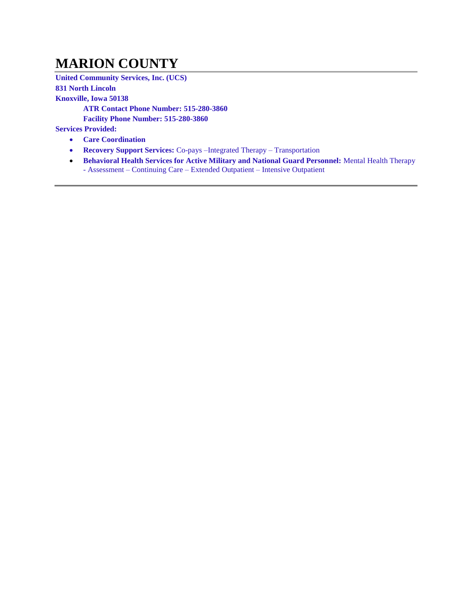### **MARION COUNTY**

**United Community Services, Inc. (UCS) 831 North Lincoln Knoxville, Iowa 50138 ATR Contact Phone Number: 515-280-3860 Facility Phone Number: 515-280-3860 Services Provided:**

- **Care Coordination**
- **Recovery Support Services:** Co-pays –Integrated Therapy Transportation
- **Behavioral Health Services for Active Military and National Guard Personnel:** Mental Health Therapy - Assessment – Continuing Care – Extended Outpatient – Intensive Outpatient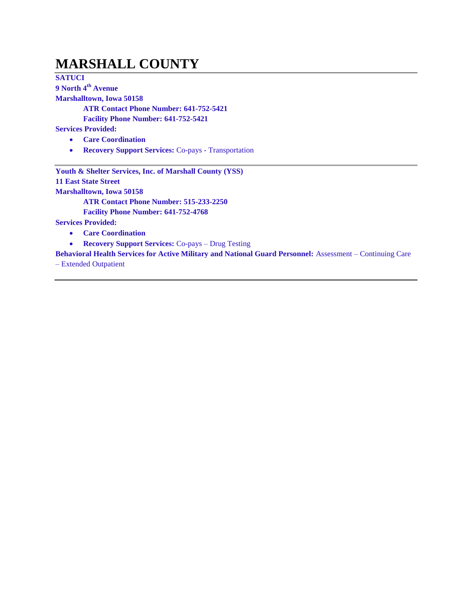#### **MARSHALL COUNTY**

**SATUCI 9 North 4th Avenue**

**Marshalltown, Iowa 50158**

**ATR Contact Phone Number: 641-752-5421**

**Facility Phone Number: 641-752-5421**

**Services Provided:**

- **Care Coordination**
- **Recovery Support Services:** Co-pays Transportation

**Youth & Shelter Services, Inc. of Marshall County (YSS) 11 East State Street Marshalltown, Iowa 50158 ATR Contact Phone Number: 515-233-2250**

**Facility Phone Number: 641-752-4768**

**Services Provided:**

- **Care Coordination**
- **Recovery Support Services:** Co-pays Drug Testing

**Behavioral Health Services for Active Military and National Guard Personnel:** Assessment – Continuing Care – Extended Outpatient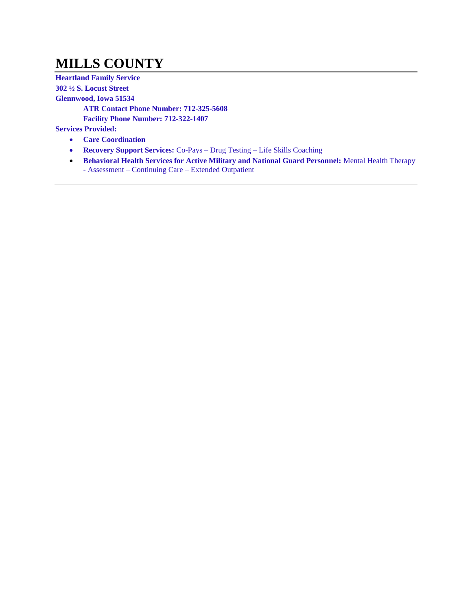# **MILLS COUNTY**

**Heartland Family Service 302 ½ S. Locust Street Glennwood, Iowa 51534 ATR Contact Phone Number: 712-325-5608 Facility Phone Number: 712-322-1407 Services Provided: Care Coordination**

- **Recovery Support Services:** Co-Pays Drug Testing Life Skills Coaching
- **Behavioral Health Services for Active Military and National Guard Personnel:** Mental Health Therapy - Assessment – Continuing Care – Extended Outpatient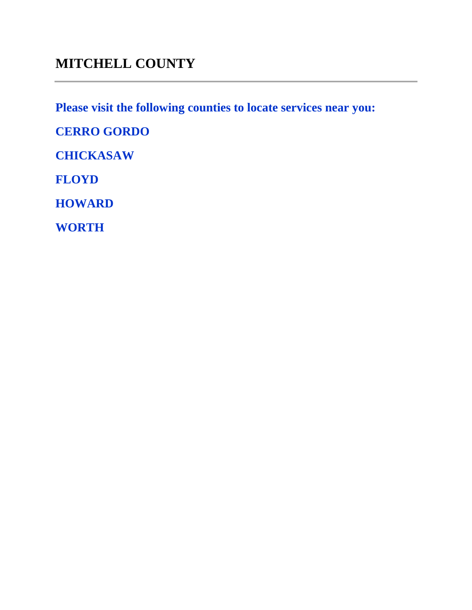### **MITCHELL COUNTY**

**Please visit the following counties to locate services near you:** 

**CERRO GORDO**

**CHICKASAW**

**FLOYD**

**HOWARD**

**WORTH**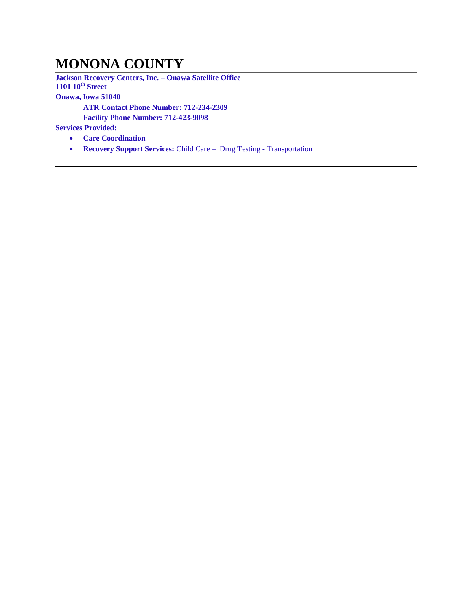### **MONONA COUNTY**

**Jackson Recovery Centers, Inc. – Onawa Satellite Office 1101 10th Street Onawa, Iowa 51040 ATR Contact Phone Number: 712-234-2309 Facility Phone Number: 712-423-9098**

- **Care Coordination**
- **Recovery Support Services:** Child Care Drug Testing Transportation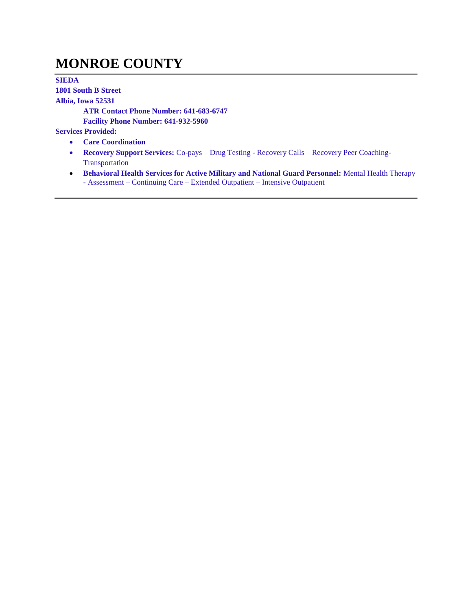### **MONROE COUNTY**

**SIEDA 1801 South B Street Albia, Iowa 52531 ATR Contact Phone Number: 641-683-6747 Facility Phone Number: 641-932-5960 Services Provided:**

- **Care Coordination**
- **Recovery Support Services:** Co-pays Drug Testing Recovery Calls Recovery Peer Coaching-Transportation
- **Behavioral Health Services for Active Military and National Guard Personnel:** Mental Health Therapy - Assessment – Continuing Care – Extended Outpatient – Intensive Outpatient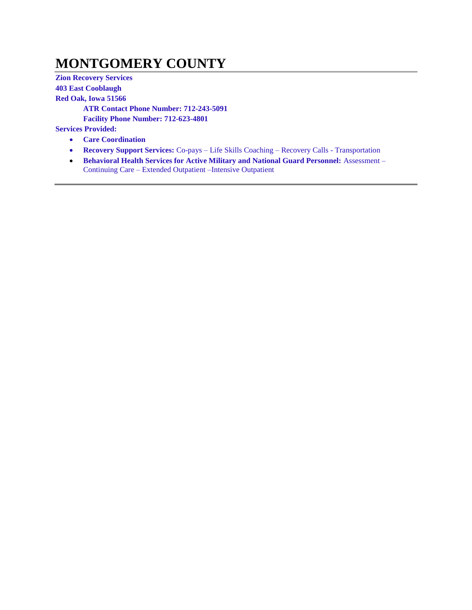### **MONTGOMERY COUNTY**

**Zion Recovery Services 403 East Cooblaugh Red Oak, Iowa 51566 ATR Contact Phone Number: 712-243-5091 Facility Phone Number: 712-623-4801 Services Provided:**

- **Care Coordination**
- **Recovery Support Services:** Co-pays Life Skills Coaching Recovery Calls Transportation
- **Behavioral Health Services for Active Military and National Guard Personnel: Assessment** Continuing Care – Extended Outpatient –Intensive Outpatient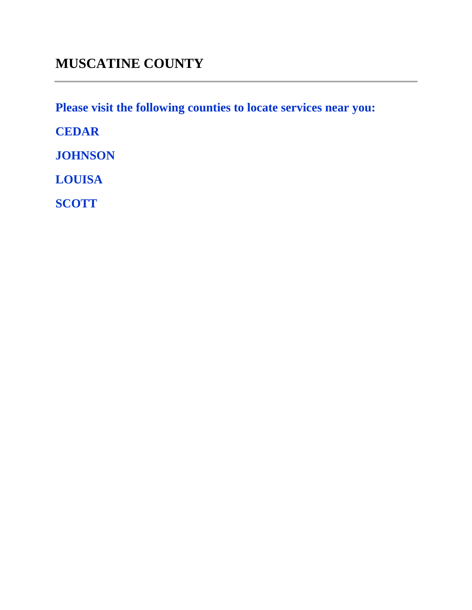**Please visit the following counties to locate services near you:** 

**CEDAR**

**JOHNSON**

**LOUISA**

**SCOTT**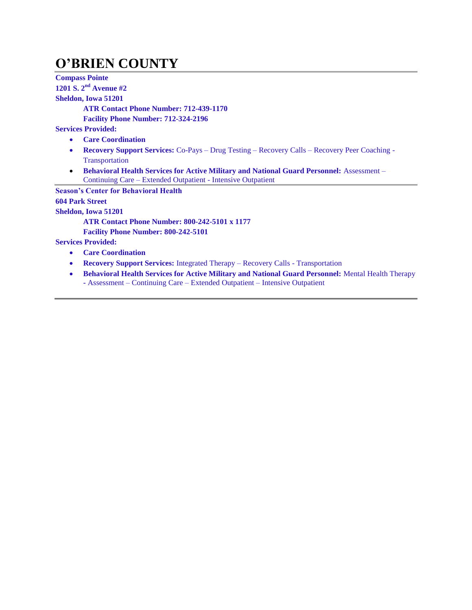## **O'BRIEN COUNTY**

**Compass Pointe 1201 S. 2nd Avenue #2 Sheldon, Iowa 51201 ATR Contact Phone Number: 712-439-1170 Facility Phone Number: 712-324-2196 Services Provided: Care Coordination Recovery Support Services:** Co-Pays – Drug Testing – Recovery Calls – Recovery Peer Coaching - **Transportation Behavioral Health Services for Active Military and National Guard Personnel:** Assessment – Continuing Care – Extended Outpatient - Intensive Outpatient **Season's Center for Behavioral Health 604 Park Street Sheldon, Iowa 51201 ATR Contact Phone Number: 800-242-5101 x 1177 Facility Phone Number: 800-242-5101 Services Provided: Care Coordination Recovery Support Services:** Integrated Therapy – Recovery Calls - Transportation **Behavioral Health Services for Active Military and National Guard Personnel:** Mental Health Therapy **-** Assessment – Continuing Care – Extended Outpatient – Intensive Outpatient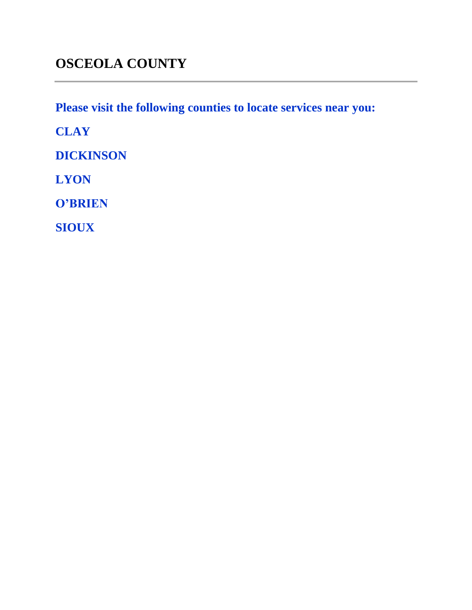**Please visit the following counties to locate services near you:** 

**CLAY**

**DICKINSON**

**LYON**

**O'BRIEN**

**SIOUX**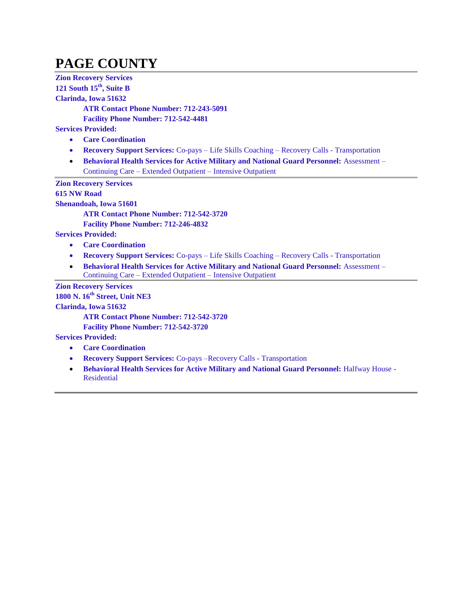# **PAGE COUNTY**

**Zion Recovery Services 121 South 15th, Suite B Clarinda, Iowa 51632**

**ATR Contact Phone Number: 712-243-5091**

**Facility Phone Number: 712-542-4481**

**Services Provided:**

- **Care Coordination**
- **Recovery Support Services:** Co-pays Life Skills Coaching Recovery Calls Transportation
- **Behavioral Health Services for Active Military and National Guard Personnel:** Assessment Continuing Care – Extended Outpatient – Intensive Outpatient

**Zion Recovery Services**

**615 NW Road**

**Shenandoah, Iowa 51601**

**ATR Contact Phone Number: 712-542-3720**

**Facility Phone Number: 712-246-4832**

**Services Provided:**

- **Care Coordination**
- **Recovery Support Services:** Co-pays Life Skills Coaching Recovery Calls Transportation
- **Behavioral Health Services for Active Military and National Guard Personnel: Assessment** Continuing Care – Extended Outpatient – Intensive Outpatient

**Zion Recovery Services**

**1800 N. 16th Street, Unit NE3**

**Clarinda, Iowa 51632**

**ATR Contact Phone Number: 712-542-3720**

**Facility Phone Number: 712-542-3720**

- **Care Coordination**
- **Recovery Support Services:** Co-pays –Recovery Calls Transportation
- **Behavioral Health Services for Active Military and National Guard Personnel: Halfway House -**Residential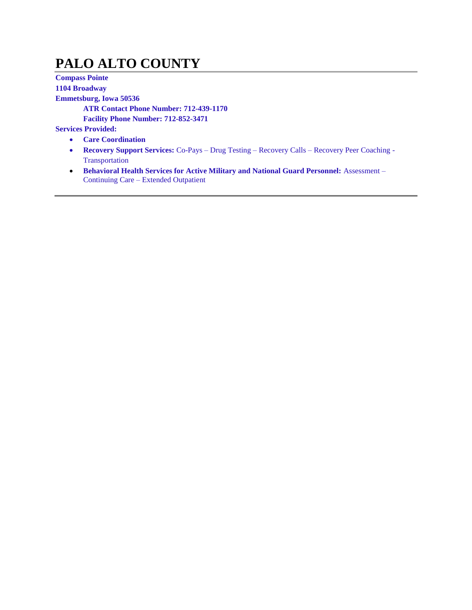# **PALO ALTO COUNTY**

**Compass Pointe 1104 Broadway Emmetsburg, Iowa 50536 ATR Contact Phone Number: 712-439-1170 Facility Phone Number: 712-852-3471 Services Provided:**

- **Care Coordination**
- **Recovery Support Services:** Co-Pays Drug Testing Recovery Calls Recovery Peer Coaching Transportation
- **Behavioral Health Services for Active Military and National Guard Personnel:** Assessment Continuing Care – Extended Outpatient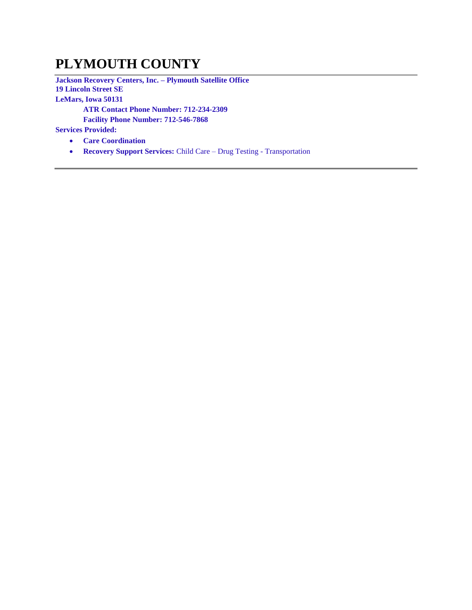## **PLYMOUTH COUNTY**

**Jackson Recovery Centers, Inc. – Plymouth Satellite Office 19 Lincoln Street SE LeMars, Iowa 50131 ATR Contact Phone Number: 712-234-2309**

**Facility Phone Number: 712-546-7868**

- **Care Coordination**
- **Recovery Support Services:** Child Care Drug Testing Transportation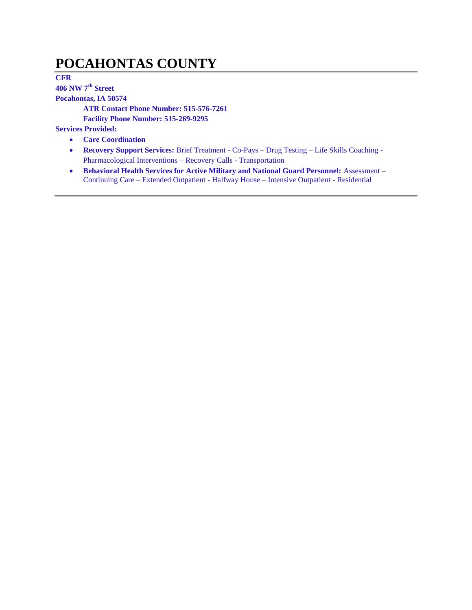## **POCAHONTAS COUNTY**

**CFR** 

**406 NW 7th Street**

**Pocahontas, IA 50574**

**ATR Contact Phone Number: 515-576-7261**

**Facility Phone Number: 515-269-9295**

- **Care Coordination**
- **Recovery Support Services:** Brief Treatment Co-Pays Drug Testing Life Skills Coaching Pharmacological Interventions – Recovery Calls - Transportation
- **Behavioral Health Services for Active Military and National Guard Personnel: Assessment** Continuing Care – Extended Outpatient - Halfway House – Intensive Outpatient - Residential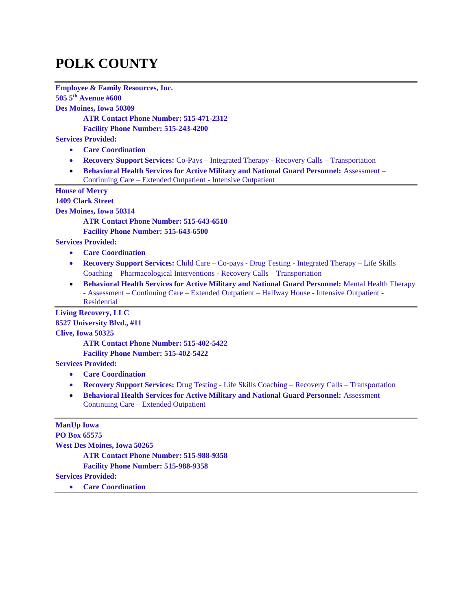# **POLK COUNTY**

**Employee & Family Resources, Inc. 505 5th Avenue #600 Des Moines, Iowa 50309 ATR Contact Phone Number: 515-471-2312 Facility Phone Number: 515-243-4200 Services Provided: Care Coordination Recovery Support Services:** Co-Pays – Integrated Therapy - Recovery Calls – Transportation **Behavioral Health Services for Active Military and National Guard Personnel:** Assessment – Continuing Care – Extended Outpatient - Intensive Outpatient **House of Mercy 1409 Clark Street Des Moines, Iowa 50314 ATR Contact Phone Number: 515-643-6510 Facility Phone Number: 515-643-6500 Services Provided: Care Coordination Recovery Support Services:** Child Care – Co-pays - Drug Testing - Integrated Therapy – Life Skills Coaching – Pharmacological Interventions - Recovery Calls – Transportation **• Behavioral Health Services for Active Military and National Guard Personnel: Mental Health Therapy** - Assessment – Continuing Care – Extended Outpatient – Halfway House - Intensive Outpatient - Residential **Living Recovery, LLC 8527 University Blvd., #11 Clive, Iowa 50325 ATR Contact Phone Number: 515-402-5422 Facility Phone Number: 515-402-5422 Services Provided: Care Coordination Recovery Support Services:** Drug Testing - Life Skills Coaching – Recovery Calls – Transportation **Behavioral Health Services for Active Military and National Guard Personnel:** Assessment – Continuing Care – Extended Outpatient **ManUp Iowa PO Box 65575 West Des Moines, Iowa 50265**

**ATR Contact Phone Number: 515-988-9358**

**Facility Phone Number: 515-988-9358**

**Services Provided:**

**Care Coordination**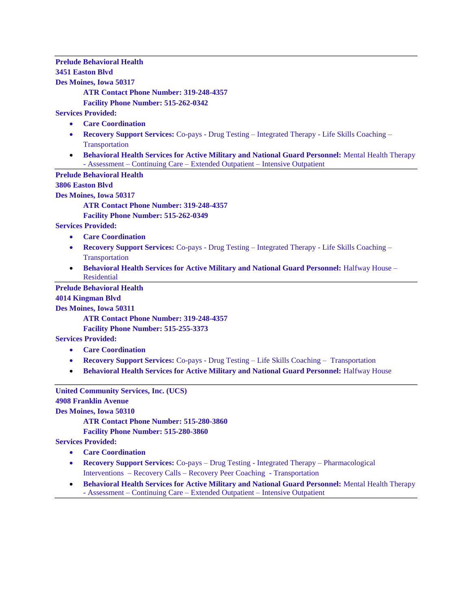#### **Prelude Behavioral Health 3451 Easton Blvd Des Moines, Iowa 50317**

**ATR Contact Phone Number: 319-248-4357**

**Facility Phone Number: 515-262-0342**

**Services Provided:**

- **Care Coordination**
- **Recovery Support Services:** Co-pays Drug Testing Integrated Therapy Life Skills Coaching **Transportation**
- **Behavioral Health Services for Active Military and National Guard Personnel:** Mental Health Therapy - Assessment – Continuing Care – Extended Outpatient – Intensive Outpatient

**Prelude Behavioral Health**

**3806 Easton Blvd**

**Des Moines, Iowa 50317**

**ATR Contact Phone Number: 319-248-4357**

**Facility Phone Number: 515-262-0349**

**Services Provided:**

- **Care Coordination**
- **Recovery Support Services:** Co-pays Drug Testing Integrated Therapy Life Skills Coaching Transportation
- **Behavioral Health Services for Active Military and National Guard Personnel:** Halfway House Residential

**Prelude Behavioral Health**

#### **4014 Kingman Blvd**

**Des Moines, Iowa 50311**

**ATR Contact Phone Number: 319-248-4357**

**Facility Phone Number: 515-255-3373**

**Services Provided:**

- **Care Coordination**
- **Recovery Support Services:** Co-pays Drug Testing Life Skills Coaching Transportation
- **Behavioral Health Services for Active Military and National Guard Personnel: Halfway House**

**United Community Services, Inc. (UCS)**

**4908 Franklin Avenue**

**Des Moines, Iowa 50310**

**ATR Contact Phone Number: 515-280-3860**

**Facility Phone Number: 515-280-3860**

- **Care Coordination**
- **Recovery Support Services:** Co-pays Drug Testing Integrated Therapy Pharmacological Interventions – Recovery Calls – Recovery Peer Coaching - Transportation
- **Behavioral Health Services for Active Military and National Guard Personnel:** Mental Health Therapy - Assessment – Continuing Care – Extended Outpatient – Intensive Outpatient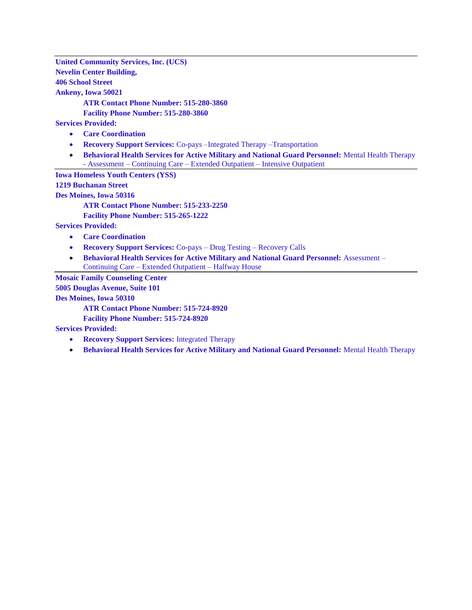**United Community Services, Inc. (UCS) Nevelin Center Building, 406 School Street Ankeny, Iowa 50021**

**ATR Contact Phone Number: 515-280-3860**

**Facility Phone Number: 515-280-3860**

**Services Provided:**

- **Care Coordination**
- **Recovery Support Services:** Co-pays –Integrated Therapy –Transportation
- **Behavioral Health Services for Active Military and National Guard Personnel:** Mental Health Therapy - Assessment – Continuing Care – Extended Outpatient – Intensive Outpatient

**Iowa Homeless Youth Centers (YSS)**

**1219 Buchanan Street**

**Des Moines, Iowa 50316**

**ATR Contact Phone Number: 515-233-2250**

**Facility Phone Number: 515-265-1222**

**Services Provided:**

- **Care Coordination**
- **Recovery Support Services:** Co-pays Drug Testing Recovery Calls
- **Behavioral Health Services for Active Military and National Guard Personnel:** Assessment Continuing Care – Extended Outpatient – Halfway House

**Mosaic Family Counseling Center**

**5005 Douglas Avenue, Suite 101**

**Des Moines, Iowa 50310**

**ATR Contact Phone Number: 515-724-8920**

**Facility Phone Number: 515-724-8920**

- **Recovery Support Services:** Integrated Therapy
- **Behavioral Health Services for Active Military and National Guard Personnel:** Mental Health Therapy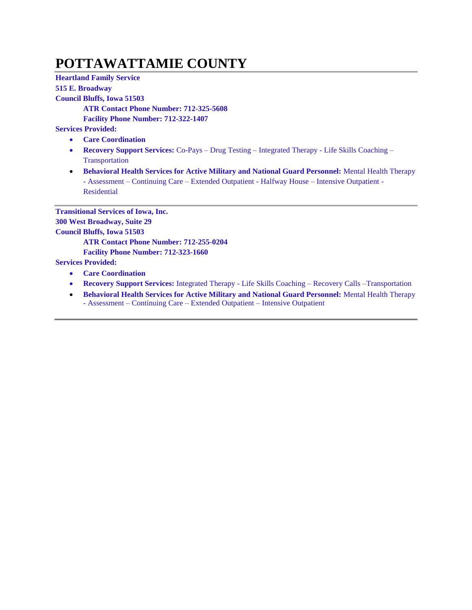# **POTTAWATTAMIE COUNTY**

**Heartland Family Service 515 E. Broadway Council Bluffs, Iowa 51503 ATR Contact Phone Number: 712-325-5608 Facility Phone Number: 712-322-1407 Services Provided: Care Coordination Recovery Support Services:** Co-Pays – Drug Testing – Integrated Therapy - Life Skills Coaching – **Transportation** 

 **Behavioral Health Services for Active Military and National Guard Personnel:** Mental Health Therapy - Assessment – Continuing Care – Extended Outpatient - Halfway House – Intensive Outpatient - Residential

**Transitional Services of Iowa, Inc. 300 West Broadway, Suite 29 Council Bluffs, Iowa 51503 ATR Contact Phone Number: 712-255-0204 Facility Phone Number: 712-323-1660**

- **Care Coordination**
- **Recovery Support Services:** Integrated Therapy Life Skills Coaching Recovery Calls –Transportation
- **Behavioral Health Services for Active Military and National Guard Personnel:** Mental Health Therapy - Assessment – Continuing Care – Extended Outpatient – Intensive Outpatient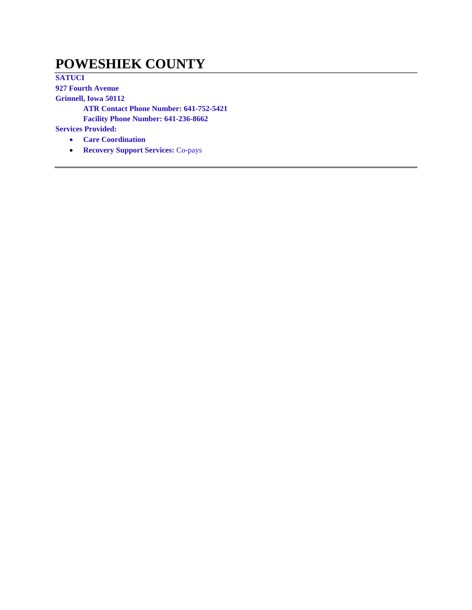#### **POWESHIEK COUNTY**

**SATUCI 927 Fourth Avenue Grinnell, Iowa 50112 ATR Contact Phone Number: 641-752-5421 Facility Phone Number: 641-236-8662 Services Provided: Care Coordination**

**Recovery Support Services:** Co-pays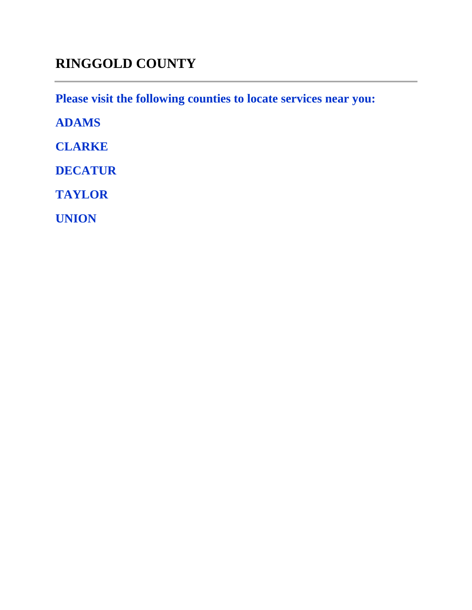# **RINGGOLD COUNTY**

**Please visit the following counties to locate services near you:** 

**ADAMS**

**CLARKE**

**DECATUR**

**TAYLOR**

**UNION**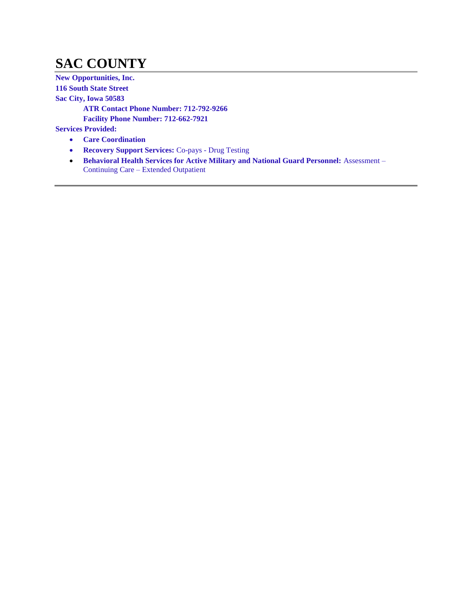# **SAC COUNTY**

**New Opportunities, Inc. 116 South State Street Sac City, Iowa 50583 ATR Contact Phone Number: 712-792-9266 Facility Phone Number: 712-662-7921 Services Provided: Care Coordination**

- **Recovery Support Services:** Co-pays Drug Testing
- **Behavioral Health Services for Active Military and National Guard Personnel: Assessment** Continuing Care – Extended Outpatient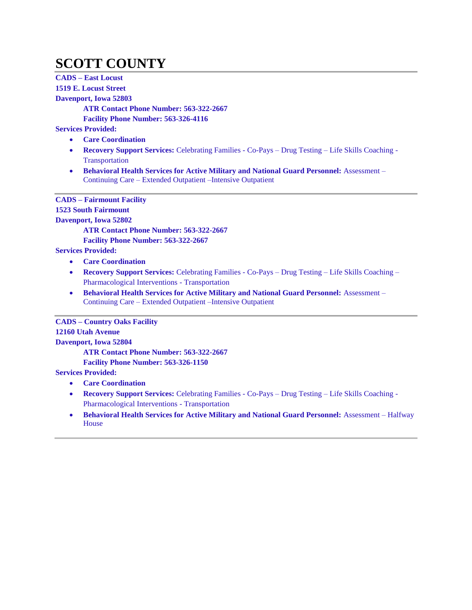# **SCOTT COUNTY**

**CADS – East Locust 1519 E. Locust Street Davenport, Iowa 52803 ATR Contact Phone Number: 563-322-2667 Facility Phone Number: 563-326-4116 Services Provided: Care Coordination Recovery Support Services:** Celebrating Families - Co-Pays – Drug Testing – Life Skills Coaching - **Transportation Behavioral Health Services for Active Military and National Guard Personnel:** Assessment – Continuing Care – Extended Outpatient –Intensive Outpatient **CADS – Fairmount Facility 1523 South Fairmount Davenport, Iowa 52802 ATR Contact Phone Number: 563-322-2667 Facility Phone Number: 563-322-2667 Services Provided: Care Coordination Recovery Support Services:** Celebrating Families - Co-Pays – Drug Testing – Life Skills Coaching – Pharmacological Interventions - Transportation **Behavioral Health Services for Active Military and National Guard Personnel:** Assessment – Continuing Care – Extended Outpatient –Intensive Outpatient **CADS – Country Oaks Facility 12160 Utah Avenue Davenport, Iowa 52804 ATR Contact Phone Number: 563-322-2667**

**Facility Phone Number: 563-326-1150**

- **Care Coordination**
- **Recovery Support Services:** Celebrating Families Co-Pays Drug Testing Life Skills Coaching Pharmacological Interventions - Transportation
- **Behavioral Health Services for Active Military and National Guard Personnel:** Assessment Halfway House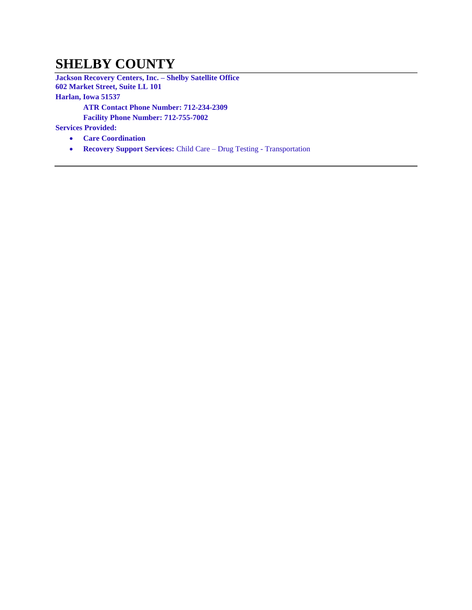#### **SHELBY COUNTY**

**Jackson Recovery Centers, Inc. – Shelby Satellite Office 602 Market Street, Suite LL 101 Harlan, Iowa 51537 ATR Contact Phone Number: 712-234-2309**

**Facility Phone Number: 712-755-7002**

- **Care Coordination**
- **Recovery Support Services:** Child Care Drug Testing Transportation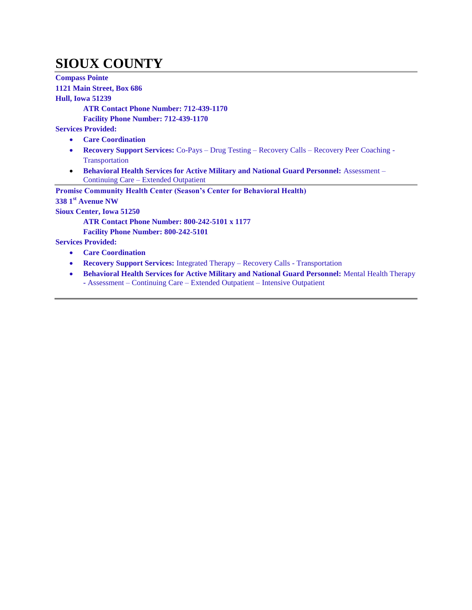# **SIOUX COUNTY**

**Compass Pointe 1121 Main Street, Box 686 Hull, Iowa 51239 ATR Contact Phone Number: 712-439-1170 Facility Phone Number: 712-439-1170 Services Provided: Care Coordination Recovery Support Services:** Co-Pays – Drug Testing – Recovery Calls – Recovery Peer Coaching - Transportation **Behavioral Health Services for Active Military and National Guard Personnel:** Assessment – Continuing Care – Extended Outpatient **Promise Community Health Center (Season's Center for Behavioral Health) 338 1st Avenue NW Sioux Center, Iowa 51250 ATR Contact Phone Number: 800-242-5101 x 1177 Facility Phone Number: 800-242-5101 Services Provided: Care Coordination Recovery Support Services:** Integrated Therapy – Recovery Calls - Transportation **Behavioral Health Services for Active Military and National Guard Personnel:** Mental Health Therapy

**-** Assessment – Continuing Care – Extended Outpatient – Intensive Outpatient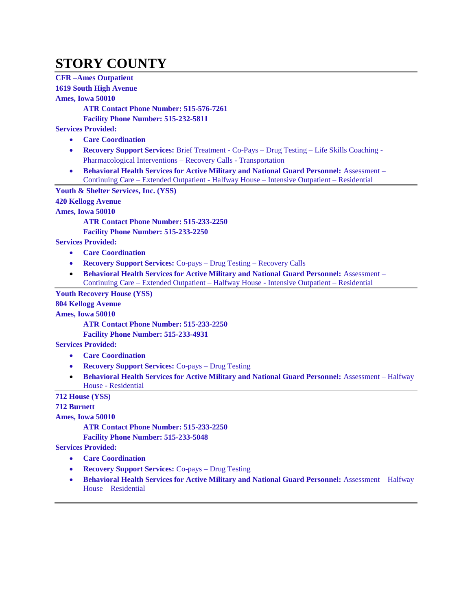### **STORY COUNTY**

**CFR –Ames Outpatient 1619 South High Avenue**

#### **Ames, Iowa 50010**

**ATR Contact Phone Number: 515-576-7261**

**Facility Phone Number: 515-232-5811**

**Services Provided:**

- **Care Coordination**
- **Recovery Support Services:** Brief Treatment Co-Pays Drug Testing Life Skills Coaching Pharmacological Interventions – Recovery Calls - Transportation
- **Behavioral Health Services for Active Military and National Guard Personnel:** Assessment Continuing Care – Extended Outpatient - Halfway House – Intensive Outpatient – Residential

**Youth & Shelter Services, Inc. (YSS) 420 Kellogg Avenue**

**Ames, Iowa 50010**

**ATR Contact Phone Number: 515-233-2250**

**Facility Phone Number: 515-233-2250**

**Services Provided:**

- **Care Coordination**
- **Recovery Support Services:** Co-pays Drug Testing Recovery Calls
- **Behavioral Health Services for Active Military and National Guard Personnel:** Assessment Continuing Care – Extended Outpatient – Halfway House - Intensive Outpatient – Residential

**Youth Recovery House (YSS)**

**804 Kellogg Avenue**

**Ames, Iowa 50010**

**ATR Contact Phone Number: 515-233-2250**

**Facility Phone Number: 515-233-4931**

**Services Provided:**

- **Care Coordination**
- **Recovery Support Services:** Co-pays Drug Testing
- **Behavioral Health Services for Active Military and National Guard Personnel:** Assessment Halfway House - Residential

**712 House (YSS)**

**712 Burnett**

**Ames, Iowa 50010**

**ATR Contact Phone Number: 515-233-2250**

**Facility Phone Number: 515-233-5048**

- **Care Coordination**
- **Recovery Support Services:** Co-pays Drug Testing
- **Behavioral Health Services for Active Military and National Guard Personnel:** Assessment Halfway House – Residential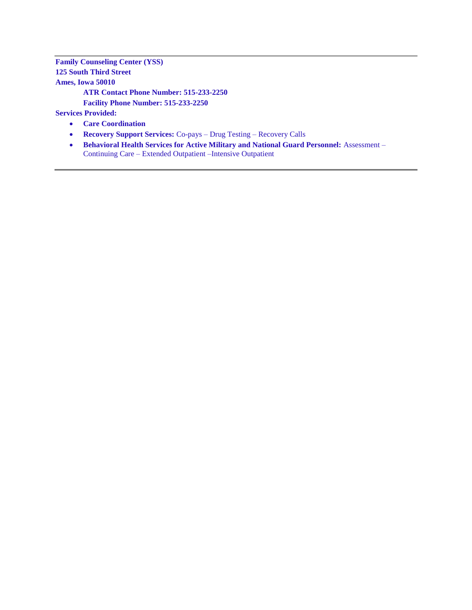**Family Counseling Center (YSS) 125 South Third Street Ames, Iowa 50010 ATR Contact Phone Number: 515-233-2250**

**Facility Phone Number: 515-233-2250**

- **Care Coordination**
- **Recovery Support Services:** Co-pays Drug Testing Recovery Calls
- **Behavioral Health Services for Active Military and National Guard Personnel: Assessment** Continuing Care – Extended Outpatient –Intensive Outpatient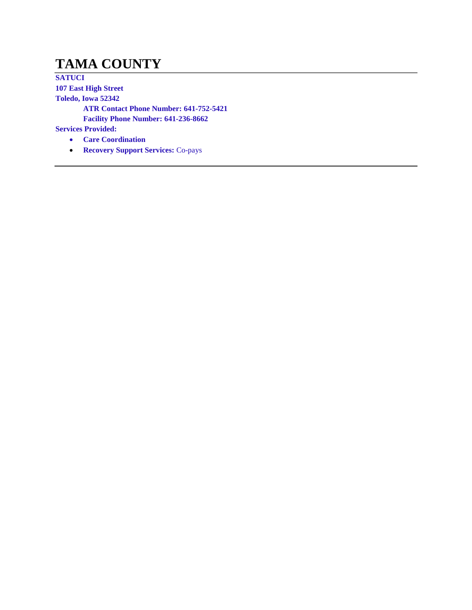## **TAMA COUNTY**

**SATUCI 107 East High Street Toledo, Iowa 52342 ATR Contact Phone Number: 641-752-5421 Facility Phone Number: 641-236-8662 Services Provided: Care Coordination**

**Recovery Support Services:** Co-pays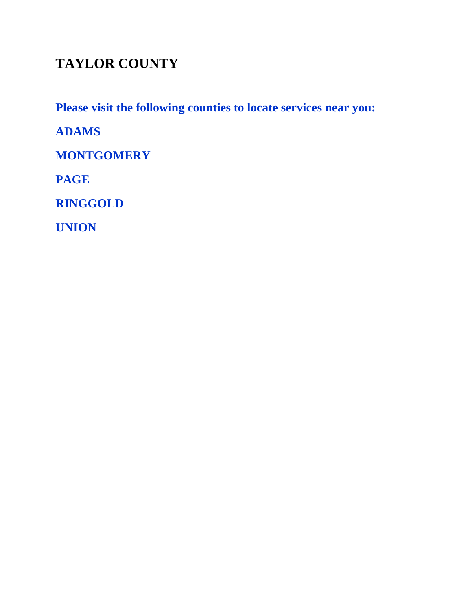**Please visit the following counties to locate services near you:** 

**ADAMS**

**MONTGOMERY**

**PAGE**

**RINGGOLD**

**UNION**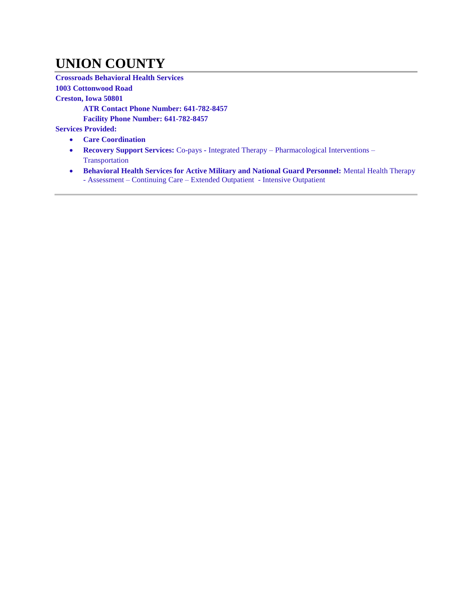### **UNION COUNTY**

**Crossroads Behavioral Health Services** 

**1003 Cottonwood Road**

**Creston, Iowa 50801**

**ATR Contact Phone Number: 641-782-8457**

**Facility Phone Number: 641-782-8457**

- **Care Coordination**
- **Recovery Support Services:** Co-pays **-** Integrated Therapy Pharmacological Interventions Transportation
- **Behavioral Health Services for Active Military and National Guard Personnel:** Mental Health Therapy - Assessment – Continuing Care – Extended Outpatient - Intensive Outpatient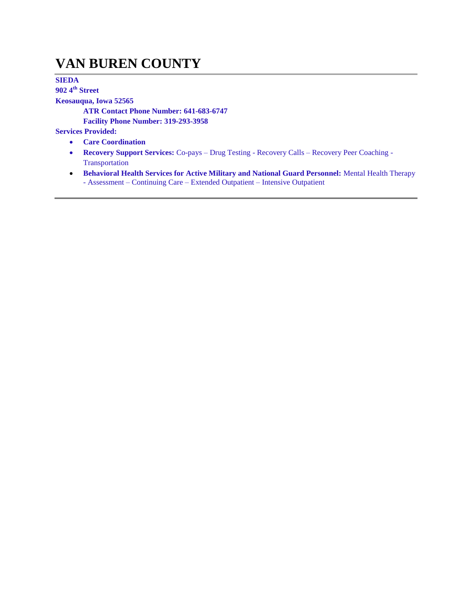### **VAN BUREN COUNTY**

**SIEDA**

**902 4th Street**

**Keosauqua, Iowa 52565**

**ATR Contact Phone Number: 641-683-6747 Facility Phone Number: 319-293-3958**

- **Care Coordination**
- **Recovery Support Services:** Co-pays Drug Testing Recovery Calls Recovery Peer Coaching Transportation
- **Behavioral Health Services for Active Military and National Guard Personnel:** Mental Health Therapy - Assessment – Continuing Care – Extended Outpatient – Intensive Outpatient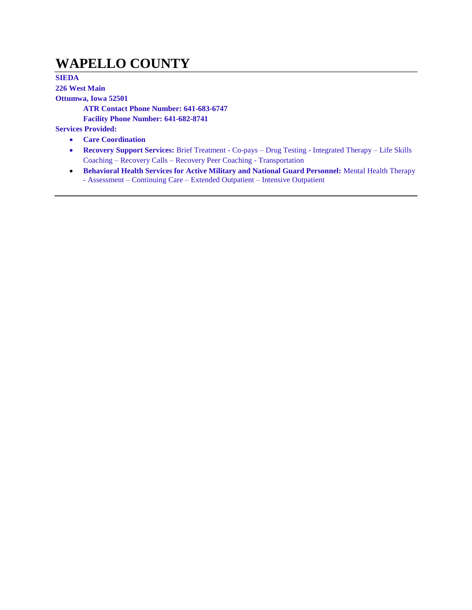### **WAPELLO COUNTY**

**SIEDA 226 West Main Ottumwa, Iowa 52501 ATR Contact Phone Number: 641-683-6747 Facility Phone Number: 641-682-8741 Services Provided:**

- **Care Coordination**
- **Recovery Support Services:** Brief Treatment Co-pays Drug Testing Integrated Therapy Life Skills Coaching – Recovery Calls – Recovery Peer Coaching - Transportation
- **Behavioral Health Services for Active Military and National Guard Personnel:** Mental Health Therapy - Assessment – Continuing Care – Extended Outpatient – Intensive Outpatient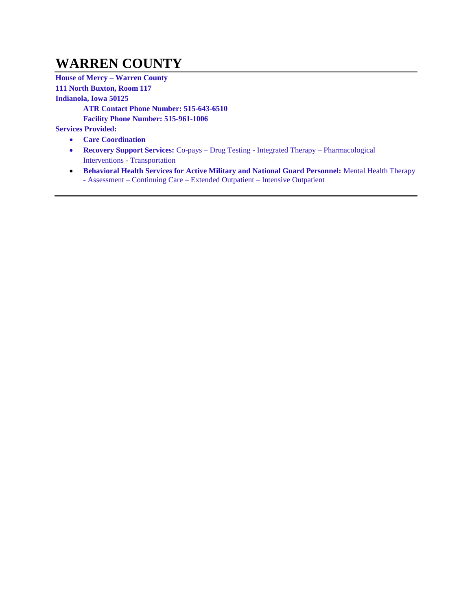## **WARREN COUNTY**

**House of Mercy – Warren County 111 North Buxton, Room 117 Indianola, Iowa 50125 ATR Contact Phone Number: 515-643-6510 Facility Phone Number: 515-961-1006 Services Provided: Care Coordination**

- 
- **Recovery Support Services:** Co-pays Drug Testing Integrated Therapy Pharmacological Interventions - Transportation
- **Behavioral Health Services for Active Military and National Guard Personnel:** Mental Health Therapy - Assessment – Continuing Care – Extended Outpatient – Intensive Outpatient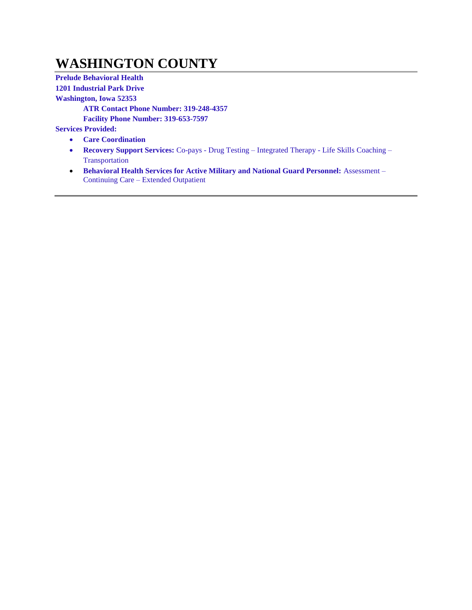## **WASHINGTON COUNTY**

**Prelude Behavioral Health 1201 Industrial Park Drive Washington, Iowa 52353 ATR Contact Phone Number: 319-248-4357 Facility Phone Number: 319-653-7597**

- **Care Coordination**
- **Recovery Support Services:** Co-pays Drug Testing Integrated Therapy Life Skills Coaching Transportation
- **Behavioral Health Services for Active Military and National Guard Personnel:** Assessment Continuing Care – Extended Outpatient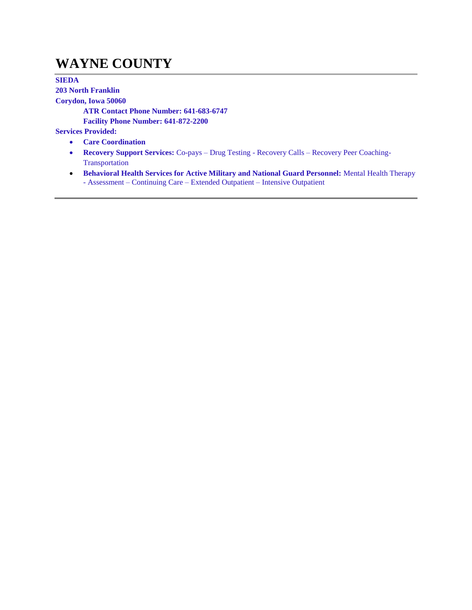### **WAYNE COUNTY**

**SIEDA**

**203 North Franklin**

**Corydon, Iowa 50060**

**ATR Contact Phone Number: 641-683-6747 Facility Phone Number: 641-872-2200**

- **Care Coordination**
- **Recovery Support Services:** Co-pays Drug Testing Recovery Calls Recovery Peer Coaching-Transportation
- **Behavioral Health Services for Active Military and National Guard Personnel:** Mental Health Therapy - Assessment – Continuing Care – Extended Outpatient – Intensive Outpatient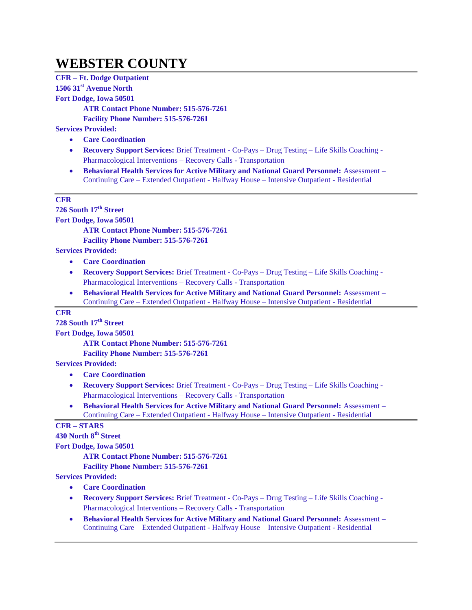### **WEBSTER COUNTY**

**CFR – Ft. Dodge Outpatient 1506 31st Avenue North Fort Dodge, Iowa 50501 ATR Contact Phone Number: 515-576-7261 Facility Phone Number: 515-576-7261 Services Provided:**

- **Care Coordination**
- **Recovery Support Services:** Brief Treatment Co-Pays Drug Testing Life Skills Coaching Pharmacological Interventions – Recovery Calls - Transportation
- **Behavioral Health Services for Active Military and National Guard Personnel:** Assessment Continuing Care – Extended Outpatient - Halfway House – Intensive Outpatient - Residential

#### **CFR**

**726 South 17th Street Fort Dodge, Iowa 50501**

**ATR Contact Phone Number: 515-576-7261**

**Facility Phone Number: 515-576-7261**

**Services Provided:**

- **Care Coordination**
- **Recovery Support Services:** Brief Treatment Co-Pays Drug Testing Life Skills Coaching Pharmacological Interventions – Recovery Calls - Transportation
- **Behavioral Health Services for Active Military and National Guard Personnel:** Assessment Continuing Care – Extended Outpatient - Halfway House – Intensive Outpatient - Residential

#### **CFR**

**728 South 17th Street**

**Fort Dodge, Iowa 50501**

**ATR Contact Phone Number: 515-576-7261 Facility Phone Number: 515-576-7261**

#### **Services Provided:**

- **Care Coordination**
- **Recovery Support Services:** Brief Treatment Co-Pays Drug Testing Life Skills Coaching Pharmacological Interventions – Recovery Calls - Transportation
- **Behavioral Health Services for Active Military and National Guard Personnel:** Assessment Continuing Care – Extended Outpatient - Halfway House – Intensive Outpatient - Residential

#### **CFR – STARS**

**430 North 8th Street**

**Fort Dodge, Iowa 50501**

**ATR Contact Phone Number: 515-576-7261**

**Facility Phone Number: 515-576-7261**

- **Care Coordination**
- **Recovery Support Services:** Brief Treatment Co-Pays Drug Testing Life Skills Coaching Pharmacological Interventions – Recovery Calls - Transportation
- **Behavioral Health Services for Active Military and National Guard Personnel:** Assessment Continuing Care – Extended Outpatient - Halfway House – Intensive Outpatient - Residential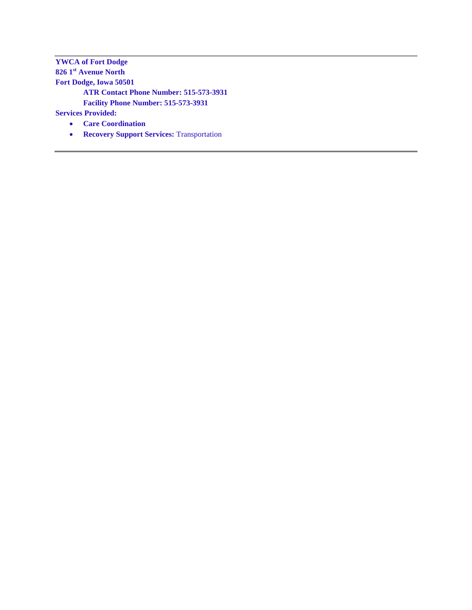**YWCA of Fort Dodge 826 1st Avenue North Fort Dodge, Iowa 50501 ATR Contact Phone Number: 515-573-3931 Facility Phone Number: 515-573-3931**

- **Care Coordination**
- **• Recovery Support Services: Transportation**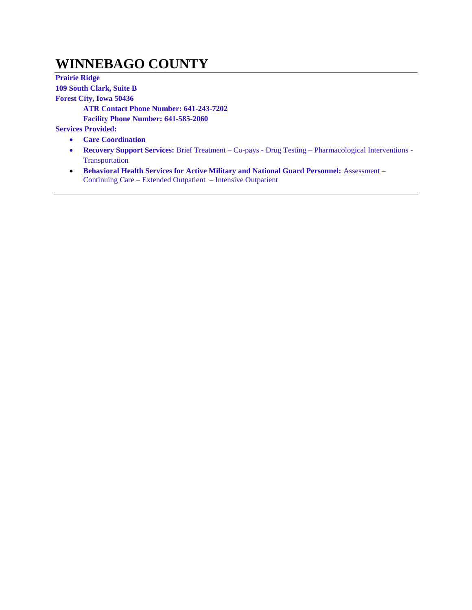### **WINNEBAGO COUNTY**

**Prairie Ridge 109 South Clark, Suite B Forest City, Iowa 50436 ATR Contact Phone Number: 641-243-7202 Facility Phone Number: 641-585-2060 Services Provided: Care Coordination**

- **Recovery Support Services:** Brief Treatment Co-pays Drug Testing Pharmacological Interventions Transportation
- **Behavioral Health Services for Active Military and National Guard Personnel:** Assessment Continuing Care – Extended Outpatient – Intensive Outpatient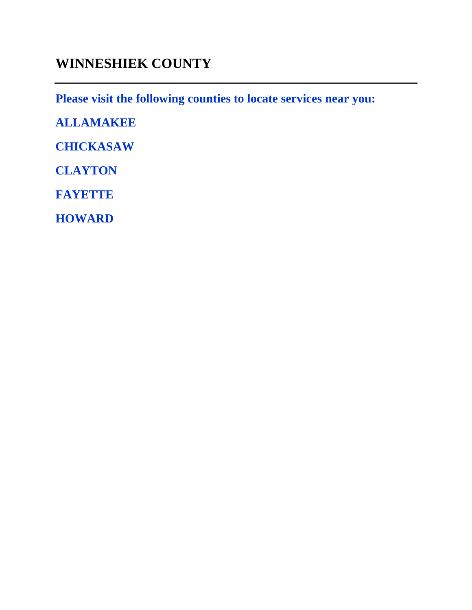### **WINNESHIEK COUNTY**

**Please visit the following counties to locate services near you:** 

**ALLAMAKEE**

**CHICKASAW**

**CLAYTON**

**FAYETTE**

**HOWARD**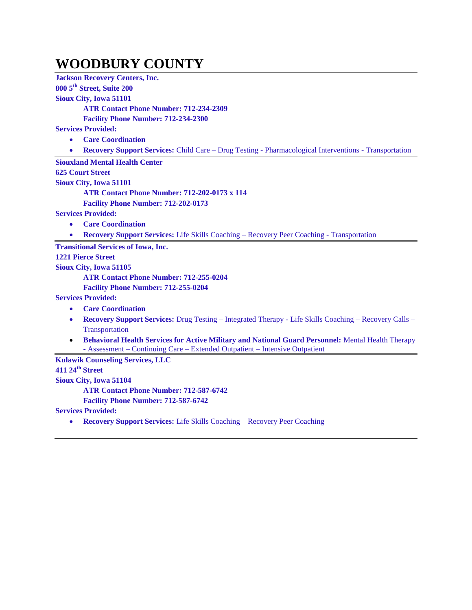#### **WOODBURY COUNTY**

**Jackson Recovery Centers, Inc. 800 5th Street, Suite 200 Sioux City, Iowa 51101 ATR Contact Phone Number: 712-234-2309 Facility Phone Number: 712-234-2300 Services Provided: Care Coordination Recovery Support Services:** Child Care – Drug Testing - Pharmacological Interventions - Transportation **Siouxland Mental Health Center 625 Court Street Sioux City, Iowa 51101 ATR Contact Phone Number: 712-202-0173 x 114 Facility Phone Number: 712-202-0173 Services Provided: Care Coordination Recovery Support Services:** Life Skills Coaching – Recovery Peer Coaching - Transportation **Transitional Services of Iowa, Inc. 1221 Pierce Street Sioux City, Iowa 51105 ATR Contact Phone Number: 712-255-0204 Facility Phone Number: 712-255-0204 Services Provided: Care Coordination Recovery Support Services:** Drug Testing – Integrated Therapy - Life Skills Coaching – Recovery Calls – Transportation **Behavioral Health Services for Active Military and National Guard Personnel:** Mental Health Therapy - Assessment – Continuing Care – Extended Outpatient – Intensive Outpatient **Kulawik Counseling Services, LLC 411 24th Street Sioux City, Iowa 51104 ATR Contact Phone Number: 712-587-6742 Facility Phone Number: 712-587-6742 Services Provided:**

**Recovery Support Services:** Life Skills Coaching – Recovery Peer Coaching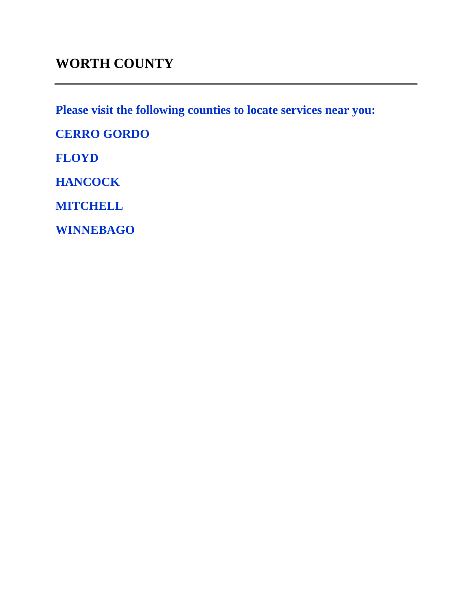## **WORTH COUNTY**

**Please visit the following counties to locate services near you:** 

**CERRO GORDO**

**FLOYD**

**HANCOCK**

**MITCHELL**

**WINNEBAGO**